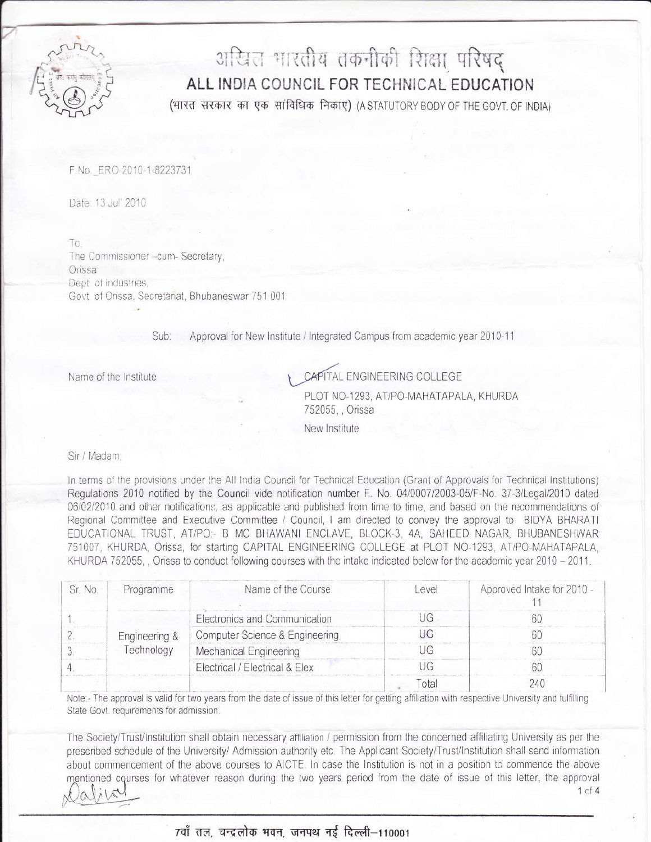

# आखिल भारतीय तकनीकी शिक्षा परिषद् ALL INDIA COUNCIL FOR TECHNICAL EDUCATION

(भारत सरकार का एक सांविधिक निकाए) (A STATUTORY BODY OF THE GOVT. OF INDIA)

F.No. ERO-2010-1-8223731

Date: 13 Jul' 2010

To The Commissioner -cum- Secretary, **Orissa** Dept. of industries, Govt. of Orissa, Secretariat, Bhubaneswar 751 001

Sub: Approval for New Institute / Integrated Campus from academic year 2010-11

Name of the Institute **Warehouse CAPITAL ENGINEERING COLLEGE** 

PLOT NO-1293, AT/PO-MAHATAPALA, KHURDA 752055,, Orissa

New lnstitute

Sir / Madam,

In terms of the provisions under the All India Council for Technical Education (Grant of Approvals for Technical Institutions) Regulations 2010 notified by the Council vide notification number F. N0.04/0007/2003-05/F-No 37-3/Legal/2010 dated 06/02/2010 and other notifications, as applicable and published from time to time, and based on the recommendations of Regional Committee and Executive Committee / Council, I am directed to convey the approval to BIDYA BHARATI EDUCATIONAL TRUST, AT/PO:- B MC BHAWANI ENCLAVE, BLOCK-3, 4A, SAHEED NAGAR, BHUBANESHWAR 751007, KHURDA, Orissa, for starting CAPITAL ENGINEERING COLLEGE at PLOT NO-l293, AT/P0-MAHATAPALA, KHURDA 752055, Orissa to conduct following courses with the intake indicated below for the academic year 2010 - 2011.

| Sr. No. | Programme     | Name of the Course             | Level | Approved Intake for 2010 - |
|---------|---------------|--------------------------------|-------|----------------------------|
|         |               | Electronics and Communication  |       |                            |
|         | Engineering & | Computer Science & Engineering |       |                            |
|         | Technology    | Mechanical Engineering         |       |                            |
|         |               | Electrical / Electrical & Elex |       |                            |
|         |               |                                |       |                            |

Note:- The approval is valid for two years from the date of issue of this letter for getting affiliation with respective University and fulfilling State Govt. requirements for admission.

The Society/Trust/Institution shall obtain necessary affiliation / permission from the concerned affiliating University as per the prescribed schedule of the University/ Admission authority etc. The Applicant Society/Trust/Institution shall send information about commencement of the above courses to AICTE. ln case the lnstitution is not in a position to comnrence ihe above mentioned courses for whatever reason during the two years period from the date of issue of this letter, the approval 1of 4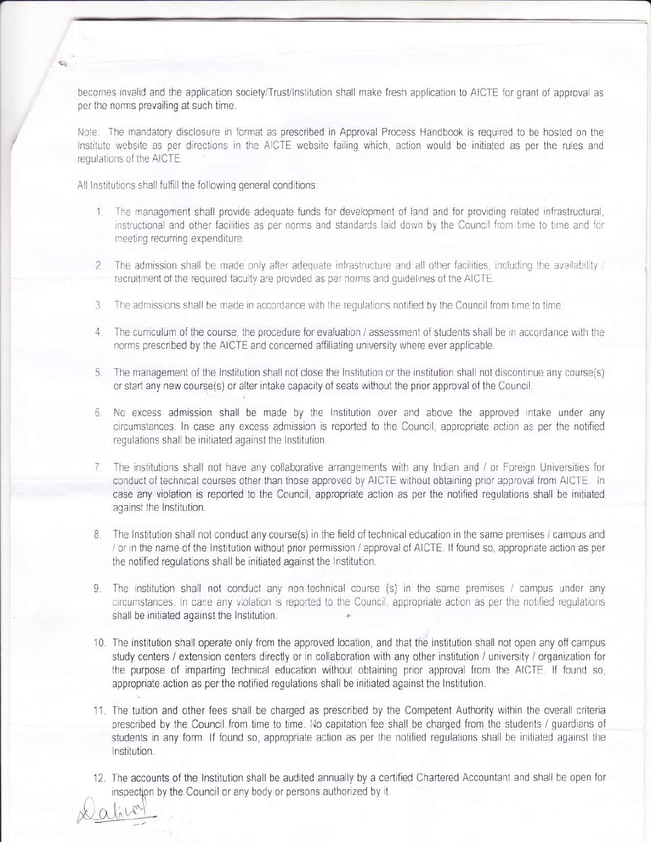becomes invalid and the application society/Trust/Institution shall make fresh application to AICTE for grant of approval as per the norms prevailing at such time.

Note: The mandatory disclosure in format as prescribed in Approval Process Handbook is required to be hosted on the lnstitute website as per directions in the AICTE website failing which, action would be initiated as per the rules and regulations of the AICTE

All lnstitutions shall fulfill the following general conditions:

 $\blacksquare$ <u>Dalinay</u>

- 1. The management shall provide adequate funds for development of land and for providing related infrastructural instructional and other facilities as per norms and standards laid down by the Council from time to time and for meeting recurring expenditure
- 2. The admission shall be made only after adequate infrastructure and all other facilities, including the availability recruitment of the required faculty are provided as per norms and guidelines of the AICTE.
- The admissions shall be made in accordance with the regulations notified by the Council from time to time. ?
- The curriculum of the course, the procedure for evaluation / assessment of students shall be in accordance with the A 4. norms prescribed by the AICTE and concerned affiliating university where ever applicable.
- The management of the Institution shall not close the Institution or the institution shall not discontinue any course(s) or start any new course(s) or alter intake capacity of seats without the prior approval of the Council. 5
- 6. No excess admission shall be made by the Institution over and above the approved intake under any circumstances. ln case any excess admission is reported to the Council, appropriate action as per the notified regulations shall be initiated against the lnstitution.
- 7. The institutions shall not have any collaborative arrangements with any Indian and / or Foreign Universities for conduct of technical courses other than those approved by AICTE without obtaining prior approval from AICTE. In case any violation is reported to the Ccuncil, appropriate action as per the notified regulations shall be initiated against the lnstitution.
- The lnstitution shall not conduct any course(s) in the field of technical education in the same premises / campus and 8 / or in the name of the lnstitution without prior permission / approval of AICTE. lf found so, appropriate action as per the notified regulations shall be initiated against the lnstitution.
- 9. The institution shall not conduct any non-technical course (s) in the same premises / campus under any circumstances. In case any violation is reported to the Council, appropriate action as per the notified regulations shall be initiated against the lnstitution. '
- 10. The institution shall operate only from the approved location, and that the institution shall not open any off campus study centers / extension centers directly or in collaboration with any other institution / university / organization for the purpose of imparting technical education without obtaining prior approval from the AICIE. lf found so, appropriate action as perthe notified regulations shall be initiated against the lnstitution.
- 11. The tuition and other fees shall be charged as prescribed by the Competent Authority within the overall criteria prescribed by the Council from time to time. No capitation fee shall be charged from the students / guardians of students in any form. If found so, appropriate action as per the notified regulations shall be initiated against the lnstitution.
- 12. The accounts of the lnstitution shall be audited annually by a certified Chartered Accountant and shall be open for inspection by the Council or any body or persons authorized by it.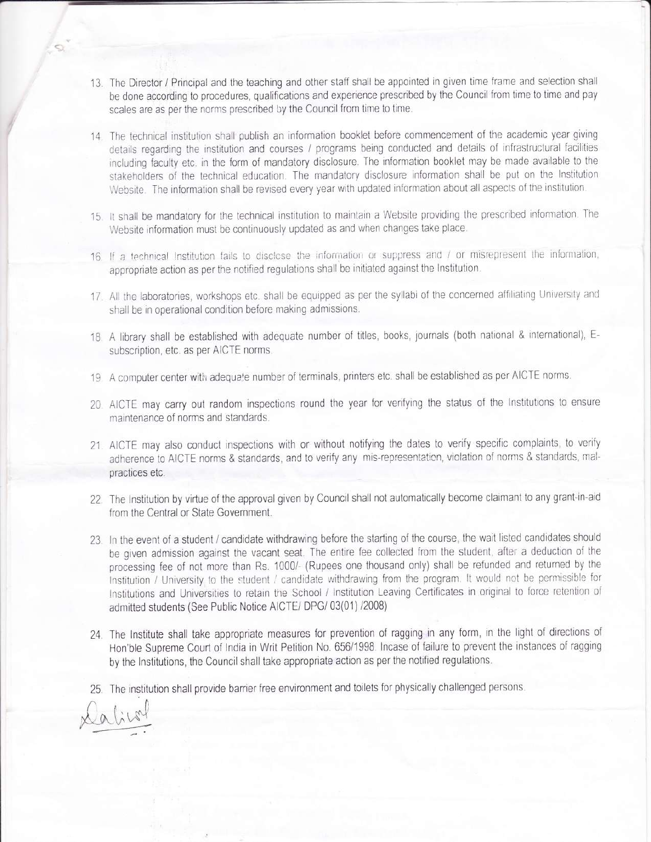- 13. The Director / Principal and the teaching and other staff shall be appointed in given time frame and selection shall be done according to procedures, qualifications and experience prescribed by the Council from time to time and pay scales are as per the norms prescribed by the Council from time to time.
- 14. The technical institution shall publish an information booklet before commencement of the academic year giving details regarding the institution and courses / programs being conducted and details of infrastructural facilities including faculty etc. in the form of mandatory disclosure. The information booklet may be made available to the stakeholders of the technical education. The mandatory disclosure information shall be put on the Institution Website. The information shall be revised every year with updated information about all aspects of the institution.
- 15. It shall be mandatory for the technical institution to maintain a Website providing the prescribed information. The Website information must be continuously updated as and when changes take place
- 16. If a technical Institution fails to disclose the information or suppress and / or misrepresent the information appropriate action as per the notified regulations shall be inrtiated against the lnstitution
- 17. All the laboratories, workshops etc. shall be equipped as per the syllabi of the concerned affiliating University and shall be in operational condition before making admissions.
- 18. A library shall be established with adequate number of titles, books, journals (both national & international), Esubscription, etc. as per AICTE norms.
- 19. A computer center with adequate number of terminals, printers etc. shall be established as per AICTE norms.
- 20 AICTE may carry out random inspections round the year for verifying the status of the lnstitutions to ensure maintenance of norms and standards.
- 21. AICTE may also conduct inspections with or without notifying the dates to verify specific complaints, to verify adherence to AICTE norms & standards, and to verify any mis-representation, violation of norms & standards, malpractices etc.
- <sup>22</sup> The lnstitution by virtue of the approval given by Council shall not automatically become claimant to any grant-in-aid from the Central or State Government.
- 23. In the event of a student / candidate withdrawing before the starting of the course, the wait listed candidates should be given admission against the vacant seat. The entire fee collected from the student, after a deduction of the processing fee of not more than Rs. 1000/- (Rupees one thousand only) shall be refunded and returned by the lnstitution / University to the student / candidate withdrawing from the program lt would not be permissible for" Institutions and Universities to retain the School / Institution Leaving Certificates in original to force retention of admitted students (See Public Notice AICTE/ DPG/ 03(01)/2008)
- The lnstitute shall take appropriate measures for prevention of ragging in any form, in the light of directions of 24 Hon'ble Supreme Court of lndia in Writ Petition No. 656/1998. lncase of failure to prevent the instances of ragging by the lnstitutions, the Council shall take appropriate action as per the notified regulations.
- 25. The institution shall provide barrier free environment and toilets for physically challenged persons.

A  $\left| \cdot \right|$ aliloy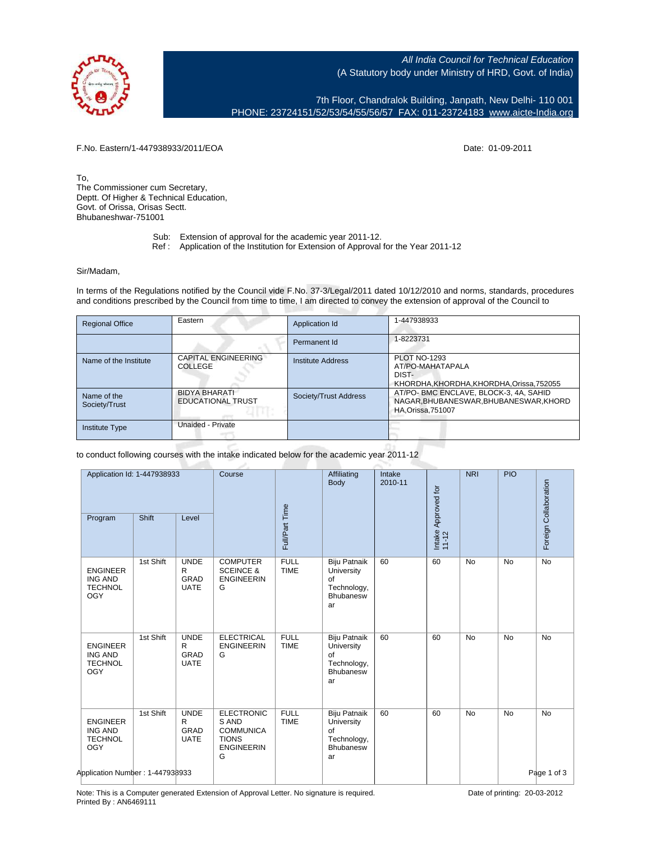

7th Floor, Chandralok Building, Janpath, New Delhi- 110 001 PHONE: 23724151/52/53/54/55/56/57 FAX: 011-23724183 [www.aicte-India.org](http://www.aicte-India.org)

F.No. Eastern/1-447938933/2011/EOA Date: 01-09-2011

To, The Commissioner cum Secretary, Deptt. Of Higher & Technical Education, Govt. of Orissa, Orisas Sectt. Bhubaneshwar-751001

- Sub: Extension of approval for the academic year 2011-12.
- Ref : Application of the Institution for Extension of Approval for the Year 2011-12

#### Sir/Madam,

In terms of the Regulations notified by the Council vide F.No. 37-3/Legal/2011 dated 10/12/2010 and norms, standards, procedures and conditions prescribed by the Council from time to time, I am directed to convey the extension of approval of the Council to

| <b>Regional Office</b>       | Eastern                                          | Application Id        | 1-447938933                                                                                                   |
|------------------------------|--------------------------------------------------|-----------------------|---------------------------------------------------------------------------------------------------------------|
|                              |                                                  | Permanent Id          | 1-8223731                                                                                                     |
| Name of the Institute        | CAPITAL ENGINEERING<br>COLLEGE                   | Institute Address     | <b>PLOT NO-1293</b><br>AT/PO-MAHATAPALA<br>DIST-<br>KHORDHA, KHORDHA, KHORDHA, Orissa, 752055                 |
| Name of the<br>Society/Trust | <b>BIDYA BHARATI</b><br><b>EDUCATIONAL TRUST</b> | Society/Trust Address | AT/PO- BMC ENCLAVE, BLOCK-3, 4A, SAHID<br>NAGAR, BHUBANESWAR, BHUBANESWAR, KHORD<br><b>HA, Orissa, 751007</b> |
| <b>Institute Type</b>        | Unaided - Private                                |                       |                                                                                                               |

to conduct following courses with the intake indicated below for the academic year 2011-12

| Application Id: 1-447938933<br>Program                            | Shift     | Level                                          | Course                                                                                   | Full/Part Time             | Affiliating<br>Body                                                              | Intake<br>2010-11 | Intake Approved for<br>11-12 | <b>NRI</b> | <b>PIO</b> | Foreign Collaboration |
|-------------------------------------------------------------------|-----------|------------------------------------------------|------------------------------------------------------------------------------------------|----------------------------|----------------------------------------------------------------------------------|-------------------|------------------------------|------------|------------|-----------------------|
|                                                                   |           |                                                |                                                                                          |                            |                                                                                  |                   |                              |            |            |                       |
| <b>ENGINEER</b><br>ING AND<br><b>TECHNOL</b><br><b>OGY</b>        | 1st Shift | <b>UNDE</b><br>R<br>GRAD<br><b>UATE</b>        | <b>COMPUTER</b><br><b>SCEINCE &amp;</b><br><b>ENGINEERIN</b><br>G                        | <b>FULL</b><br><b>TIME</b> | <b>Biju Patnaik</b><br>University<br>of<br>Technology,<br><b>Bhubanesw</b><br>ar | 60                | 60                           | <b>No</b>  | <b>No</b>  | $\overline{N}$        |
|                                                                   |           |                                                |                                                                                          |                            |                                                                                  |                   |                              |            |            |                       |
| <b>ENGINEER</b><br><b>ING AND</b><br><b>TECHNOL</b><br><b>OGY</b> | 1st Shift | <b>UNDE</b><br>R<br><b>GRAD</b><br><b>UATE</b> | <b>ELECTRICAL</b><br><b>ENGINEERIN</b><br>G                                              | <b>FULL</b><br><b>TIME</b> | Biju Patnaik<br>University<br>of<br>Technology,<br><b>Bhubanesw</b><br>ar        | 60                | 60                           | <b>No</b>  | <b>No</b>  | <b>No</b>             |
| <b>ENGINEER</b><br><b>ING AND</b><br><b>TECHNOL</b><br><b>OGY</b> | 1st Shift | <b>UNDE</b><br>R<br><b>GRAD</b><br><b>UATE</b> | <b>ELECTRONIC</b><br>S AND<br><b>COMMUNICA</b><br><b>TIONS</b><br><b>ENGINEERIN</b><br>G | <b>FULL</b><br><b>TIME</b> | Biju Patnaik<br>University<br>of<br>Technology,<br><b>Bhubanesw</b><br>ar        | 60                | 60                           | No         | <b>No</b>  | <b>No</b>             |
| Application Number: 1-447938933                                   |           |                                                |                                                                                          |                            |                                                                                  |                   |                              |            |            | Page 1 of 3           |
|                                                                   |           |                                                |                                                                                          |                            |                                                                                  |                   |                              |            |            |                       |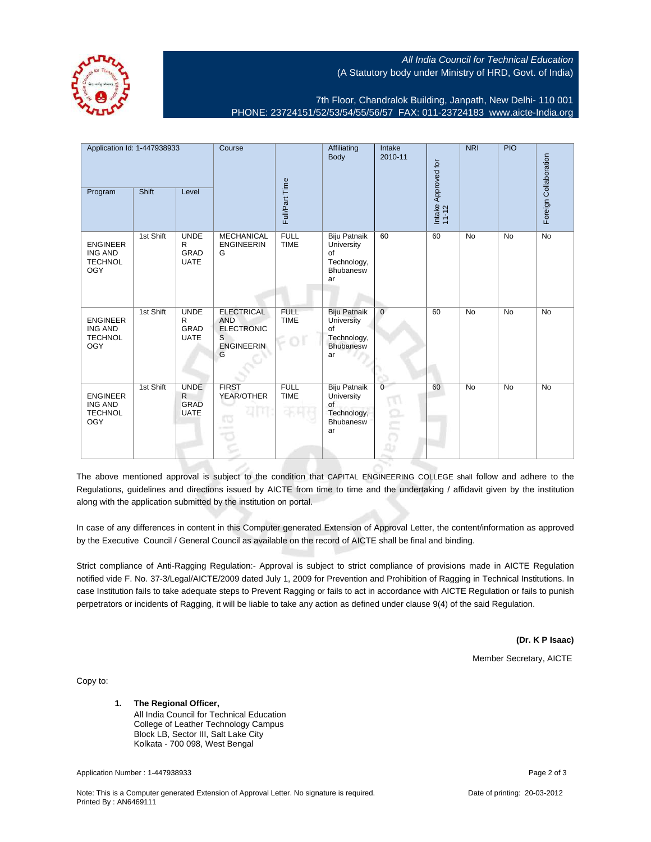

7th Floor, Chandralok Building, Janpath, New Delhi- 110 001 PHONE: 23724151/52/53/54/55/56/57 FAX: 011-23724183 [www.aicte-India.org](http://www.aicte-India.org)

| Application Id: 1-447938933                                       |           | Course                                                    |                                                                                     | Affiliating<br>Body        | Intake<br>2010-11                                                                |                                | <b>NRI</b>                   | <b>PIO</b> |           |                       |
|-------------------------------------------------------------------|-----------|-----------------------------------------------------------|-------------------------------------------------------------------------------------|----------------------------|----------------------------------------------------------------------------------|--------------------------------|------------------------------|------------|-----------|-----------------------|
| Program                                                           | Shift     | Level                                                     |                                                                                     | Full/Part Time             |                                                                                  |                                | Intake Approved for<br>11-12 |            |           | Foreign Collaboration |
| <b>ENGINEER</b><br><b>ING AND</b><br><b>TECHNOL</b><br><b>OGY</b> | 1st Shift | <b>UNDE</b><br>R<br><b>GRAD</b><br><b>UATE</b>            | <b>MECHANICAL</b><br><b>ENGINEERIN</b><br>G                                         | <b>FULL</b><br><b>TIME</b> | Biju Patnaik<br>University<br>of<br>Technology,<br>Bhubanesw<br>ar               | 60                             | 60                           | <b>No</b>  | <b>No</b> | <b>No</b>             |
| <b>ENGINEER</b><br><b>ING AND</b><br><b>TECHNOL</b><br><b>OGY</b> | 1st Shift | <b>UNDE</b><br>R<br><b>GRAD</b><br><b>UATE</b>            | <b>ELECTRICAL</b><br><b>AND</b><br><b>ELECTRONIC</b><br>S<br><b>ENGINEERIN</b><br>G | <b>FULL</b><br><b>TIME</b> | <b>Biju Patnaik</b><br>University<br>of<br>Technology,<br><b>Bhubanesw</b><br>ar | $\mathbf{0}$                   | 60                           | <b>No</b>  | <b>No</b> | <b>No</b>             |
| <b>ENGINEER</b><br><b>ING AND</b><br><b>TECHNOL</b><br><b>OGY</b> | 1st Shift | <b>UNDE</b><br>$\mathsf{R}$<br><b>GRAD</b><br><b>UATE</b> | <b>FIRST</b><br>YEAR/OTHER<br>ത                                                     | <b>FULL</b><br><b>TIME</b> | Biju Patnaik<br>University<br>of<br>Technology,<br><b>Bhubanesw</b><br>ar        | $\overline{0}$<br>W<br>Ö.<br>Ċ | 60                           | <b>No</b>  | <b>No</b> | <b>No</b>             |

The above mentioned approval is subject to the condition that CAPITAL ENGINEERING COLLEGE shall follow and adhere to the Regulations, guidelines and directions issued by AICTE from time to time and the undertaking / affidavit given by the institution along with the application submitted by the institution on portal.

In case of any differences in content in this Computer generated Extension of Approval Letter, the content/information as approved by the Executive Council / General Council as available on the record of AICTE shall be final and binding.

Strict compliance of Anti-Ragging Regulation:- Approval is subject to strict compliance of provisions made in AICTE Regulation notified vide F. No. 37-3/Legal/AICTE/2009 dated July 1, 2009 for Prevention and Prohibition of Ragging in Technical Institutions. In case Institution fails to take adequate steps to Prevent Ragging or fails to act in accordance with AICTE Regulation or fails to punish perpetrators or incidents of Ragging, it will be liable to take any action as defined under clause 9(4) of the said Regulation.

**(Dr. K P Isaac)**

Member Secretary, AICTE

Copy to:

**1. The Regional Officer,** All India Council for Technical Education College of Leather Technology Campus Block LB, Sector III, Salt Lake City Kolkata - 700 098, West Bengal

Application Number: 1-447938933 Page 2 of 3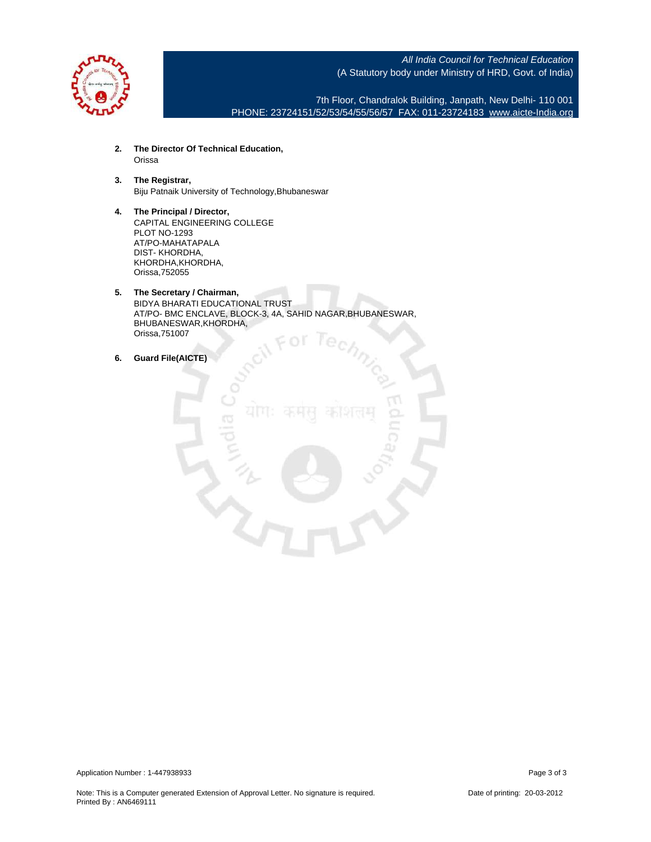

7th Floor, Chandralok Building, Janpath, New Delhi- 110 001 PHONE: 23724151/52/53/54/55/56/57 FAX: 011-23724183 [www.aicte-India.org](http://www.aicte-India.org)

- **2. The Director Of Technical Education,** Orissa
- **3. The Registrar,** Biju Patnaik University of Technology,Bhubaneswar
- **4. The Principal / Director,** CAPITAL ENGINEERING COLLEGE PLOT NO-1293 AT/PO-MAHATAPALA DIST- KHORDHA, KHORDHA,KHORDHA, Orissa,752055
- **5. The Secretary / Chairman,** BIDYA BHARATI EDUCATIONAL TRUST AT/PO- BMC ENCLAVE, BLOCK-3, 4A, SAHID NAGAR,BHUBANESWAR, BHUBANESWAR,KHORDHA, Orissa,751007
- **6. Guard File(AICTE)**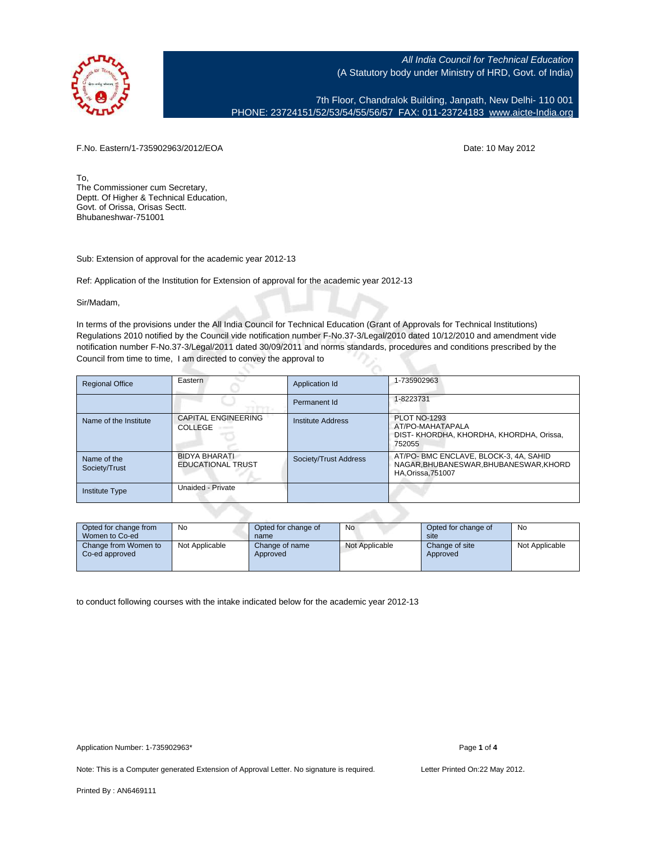

7th Floor, Chandralok Building, Janpath, New Delhi- 110 001 PHONE: 23724151/52/53/54/55/56/57 FAX: 011-23724183 [www.aicte-India.org](http://www.aicte-India.org)

F.No. Eastern/1-735902963/2012/EOA Date: 10 May 2012

To, The Commissioner cum Secretary, Deptt. Of Higher & Technical Education, Govt. of Orissa, Orisas Sectt. Bhubaneshwar-751001

Sub: Extension of approval for the academic year 2012-13

Ref: Application of the Institution for Extension of approval for the academic year 2012-13

Sir/Madam,

In terms of the provisions under the All India Council for Technical Education (Grant of Approvals for Technical Institutions) Regulations 2010 notified by the Council vide notification number F-No.37-3/Legal/2010 dated 10/12/2010 and amendment vide notification number F-No.37-3/Legal/2011 dated 30/09/2011 and norms standards, procedures and conditions prescribed by the Council from time to time, I am directed to convey the approval to

| <b>Regional Office</b>       | Eastern                                          | Application Id        | 1-735902963                                                                                                 |
|------------------------------|--------------------------------------------------|-----------------------|-------------------------------------------------------------------------------------------------------------|
|                              |                                                  | Permanent Id          | 1-8223731                                                                                                   |
| Name of the Institute        | <b>CAPITAL ENGINEERING</b><br>COLLEGE            | Institute Address     | <b>PLOT NO-1293</b><br>AT/PO-MAHATAPALA<br>DIST-KHORDHA, KHORDHA, KHORDHA, Orissa,<br>752055                |
| Name of the<br>Society/Trust | <b>BIDYA BHARATI</b><br><b>EDUCATIONAL TRUST</b> | Society/Trust Address | AT/PO- BMC ENCLAVE, BLOCK-3, 4A, SAHID<br>NAGAR, BHUBANESWAR, BHUBANESWAR, KHORD<br><b>HA.Orissa.751007</b> |
| <b>Institute Type</b>        | Unaided - Private                                |                       |                                                                                                             |

| Opted for change from<br>Women to Co-ed                  | No | Opted for change of<br>name | No             | Opted for change of<br>site | No             |
|----------------------------------------------------------|----|-----------------------------|----------------|-----------------------------|----------------|
| Not Applicable<br>Change from Women to<br>Co-ed approved |    | Change of name<br>Approved  | Not Applicable | Change of site<br>Approved  | Not Applicable |
|                                                          |    |                             |                |                             |                |

to conduct following courses with the intake indicated below for the academic year 2012-13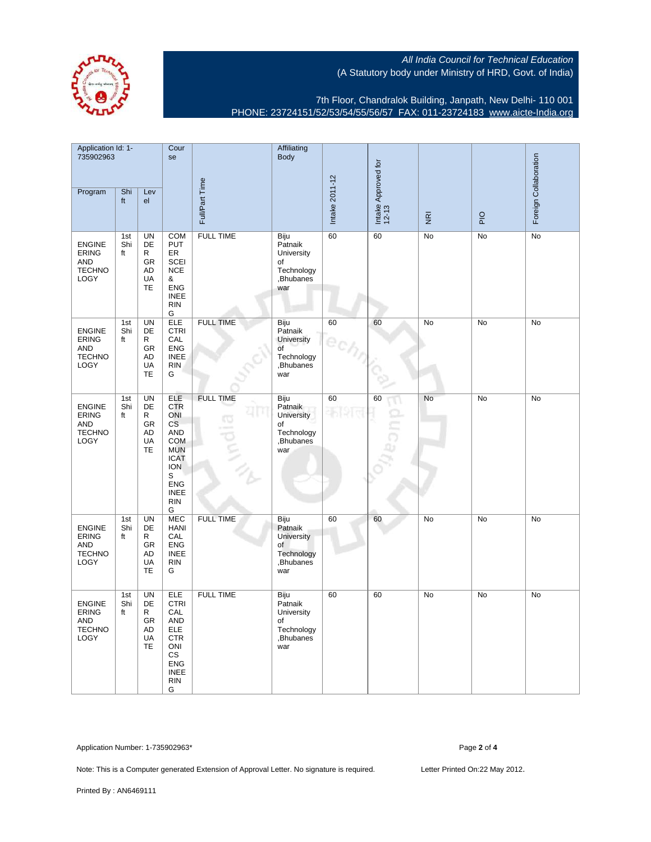

7th Floor, Chandralok Building, Janpath, New Delhi- 110 001 PHONE: 23724151/52/53/54/55/56/57 FAX: 011-23724183 [www.aicte-India.org](http://www.aicte-India.org)

| Application Id: 1-<br>735902963                                             |                  | Cour<br>se                                                 |                                                                                                                                                            | Affiliating<br><b>Body</b>             |                                                                              |                |                              |                         | Foreign Collaboration |           |
|-----------------------------------------------------------------------------|------------------|------------------------------------------------------------|------------------------------------------------------------------------------------------------------------------------------------------------------------|----------------------------------------|------------------------------------------------------------------------------|----------------|------------------------------|-------------------------|-----------------------|-----------|
| Program                                                                     | Shi<br>ft        | Lev<br>el                                                  |                                                                                                                                                            | Full/Part Time                         |                                                                              | Intake 2011-12 | Intake Approved for<br>12-13 | $\overline{\mathbf{g}}$ | <b>PIO</b>            |           |
| <b>ENGINE</b><br><b>ERING</b><br><b>AND</b><br><b>TECHNO</b><br>LOGY        | 1st<br>Shi<br>ft | <b>UN</b><br>DE<br>R<br>GR<br>AD<br><b>UA</b><br>TE        | COM<br><b>PUT</b><br>ER<br><b>SCEI</b><br><b>NCE</b><br>&<br><b>ENG</b><br><b>INEE</b><br><b>RIN</b><br>G                                                  | <b>FULL TIME</b>                       | Biju<br>Patnaik<br>University<br>of<br>Technology<br>Bhubanes<br>war         | 60             | 60                           | No                      | No                    | No        |
| <b>ENGINE</b><br><b>ERING</b><br><b>AND</b><br><b>TECHNO</b><br><b>LOGY</b> | 1st<br>Shi<br>ft | <b>UN</b><br>DE<br>R<br>GR<br>AD<br>UA<br><b>TE</b>        | <b>ELE</b><br><b>CTRI</b><br>CAL<br><b>ENG</b><br><b>INEE</b><br><b>RIN</b><br>G                                                                           | <b>FULL TIME</b>                       | Biju<br>Patnaik<br>University<br>of<br>Technology<br>,Bhubanes<br>war        | 60             | 60                           | No                      | No                    | No        |
| <b>ENGINE</b><br><b>ERING</b><br><b>AND</b><br><b>TECHNO</b><br>LOGY        | 1st<br>Shi<br>ft | <b>UN</b><br>DE<br>R<br>GR<br>AD<br>UA<br><b>TE</b>        | <b>ELE</b><br><b>CTR</b><br>ONI<br><b>CS</b><br>AND<br>COM<br><b>MUN</b><br><b>ICAT</b><br><b>ION</b><br>S<br><b>ENG</b><br><b>INEE</b><br><b>RIN</b><br>G | <b>FULL TIME</b><br>याग<br>ಣ<br>TON VI | Biju<br>Patnaik<br>University<br>of<br>Technology<br>,Bhubanes<br>war        | 60             | 60                           | <b>No</b>               | <b>No</b>             | <b>No</b> |
| <b>ENGINE</b><br><b>ERING</b><br><b>AND</b><br><b>TECHNO</b><br>LOGY        | 1st<br>Shi<br>ft | <b>UN</b><br>DE<br>R<br>GR<br>AD<br>UA<br><b>TE</b>        | <b>MEC</b><br><b>HANI</b><br>CAL<br><b>ENG</b><br><b>INEE</b><br><b>RIN</b><br>G                                                                           | <b>FULL TIME</b>                       | Biju<br>Patnaik<br><b>University</b><br>of<br>Technology<br>,Bhubanes<br>war | 60             | 60                           | No                      | No                    | <b>No</b> |
| <b>ENGINE</b><br><b>ERING</b><br><b>AND</b><br><b>TECHNO</b><br>LOGY        | 1st<br>Shi<br>ft | <b>UN</b><br><b>DE</b><br>R<br>GR<br><b>AD</b><br>UA<br>TE | <b>ELE</b><br><b>CTRI</b><br>CAL<br><b>AND</b><br>ELE<br><b>CTR</b><br>ONI<br><b>CS</b><br><b>ENG</b><br><b>INEE</b><br><b>RIN</b><br>G                    | <b>FULL TIME</b>                       | Biju<br>Patnaik<br>University<br>of<br>Technology<br>,Bhubanes<br>war        | 60             | 60                           | No                      | No                    | No        |

Application Number: 1-735902963\* Page **2** of **4**

Note: This is a Computer generated Extension of Approval Letter. No signature is required. Letter Printed On:22 May 2012.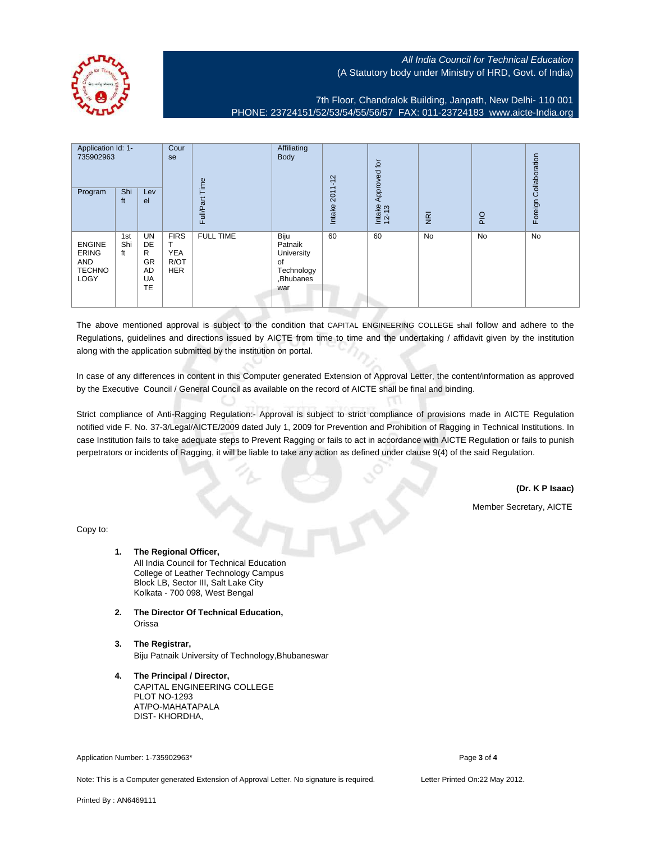

7th Floor, Chandralok Building, Janpath, New Delhi- 110 001 PHONE: 23724151/52/53/54/55/56/57 FAX: 011-23724183 [www.aicte-India.org](http://www.aicte-India.org)

| Application Id: 1-<br>735902963<br>Program                    | Shi<br>ft        | Lev<br>el                                    | Cour<br>se                                           | Time<br>Full/Part | Affiliating<br>Body                                                   | $2011 - 12$<br>Intake | , p<br>Approved<br>Intake<br>12-13 | $\overline{g}$ | PIO | Foreign Collaboration |
|---------------------------------------------------------------|------------------|----------------------------------------------|------------------------------------------------------|-------------------|-----------------------------------------------------------------------|-----------------------|------------------------------------|----------------|-----|-----------------------|
| <b>ENGINE</b><br><b>ERING</b><br>AND<br><b>TECHNO</b><br>LOGY | 1st<br>Shi<br>ft | UN<br>DE<br>R<br>GR<br>AD<br><b>UA</b><br>TE | <b>FIRS</b><br>т<br><b>YEA</b><br>R/OT<br><b>HER</b> | <b>FULL TIME</b>  | Biju<br>Patnaik<br>University<br>of<br>Technology<br>,Bhubanes<br>war | 60                    | 60                                 | No             | No  | No                    |

The above mentioned approval is subject to the condition that CAPITAL ENGINEERING COLLEGE shall follow and adhere to the Regulations, guidelines and directions issued by AICTE from time to time and the undertaking / affidavit given by the institution along with the application submitted by the institution on portal.

In case of any differences in content in this Computer generated Extension of Approval Letter, the content/information as approved by the Executive Council / General Council as available on the record of AICTE shall be final and binding.

Strict compliance of Anti-Ragging Regulation:- Approval is subject to strict compliance of provisions made in AICTE Regulation notified vide F. No. 37-3/Legal/AICTE/2009 dated July 1, 2009 for Prevention and Prohibition of Ragging in Technical Institutions. In case Institution fails to take adequate steps to Prevent Ragging or fails to act in accordance with AICTE Regulation or fails to punish perpetrators or incidents of Ragging, it will be liable to take any action as defined under clause 9(4) of the said Regulation.

**(Dr. K P Isaac)**

Member Secretary, AICTE

Copy to:

- **1. The Regional Officer,** All India Council for Technical Education College of Leather Technology Campus Block LB, Sector III, Salt Lake City Kolkata - 700 098, West Bengal
- **2. The Director Of Technical Education,** Orissa
- **3. The Registrar,** Biju Patnaik University of Technology,Bhubaneswar
- **4. The Principal / Director,** CAPITAL ENGINEERING COLLEGE PLOT NO-1293 AT/PO-MAHATAPALA DIST- KHORDHA,

Application Number: 1-735902963\* Page **3** of **4**

Note: This is a Computer generated Extension of Approval Letter. No signature is required. Letter Printed On:22 May 2012.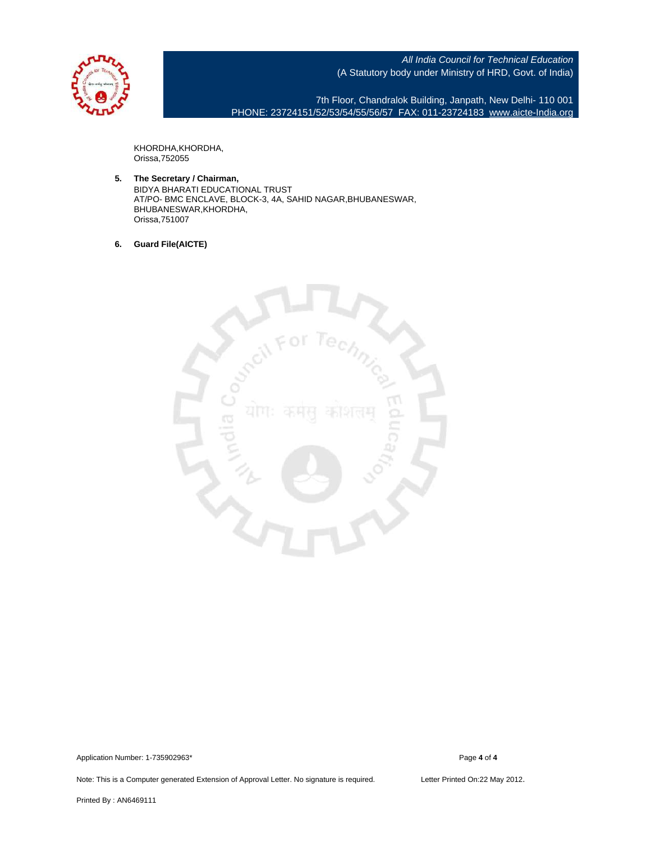

7th Floor, Chandralok Building, Janpath, New Delhi- 110 001 PHONE: 23724151/52/53/54/55/56/57 FAX: 011-23724183 [www.aicte-India.org](http://www.aicte-India.org)

KHORDHA,KHORDHA, Orissa,752055

- **5. The Secretary / Chairman,** BIDYA BHARATI EDUCATIONAL TRUST AT/PO- BMC ENCLAVE, BLOCK-3, 4A, SAHID NAGAR,BHUBANESWAR, BHUBANESWAR,KHORDHA, Orissa,751007
- **6. Guard File(AICTE)**



Application Number: 1-735902963\* Page **4** of **4**

Note: This is a Computer generated Extension of Approval Letter. No signature is required. Letter Printed On:22 May 2012.

Printed By : AN6469111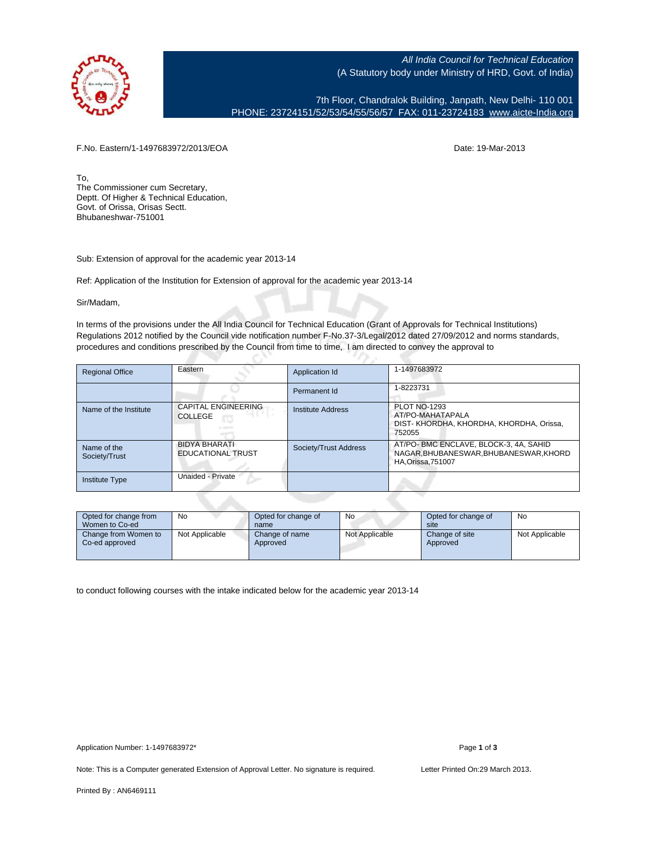

7th Floor, Chandralok Building, Janpath, New Delhi- 110 001 PHONE: 23724151/52/53/54/55/56/57 FAX: 011-23724183 [www.aicte-India.org](http://www.aicte-India.org)

F.No. Eastern/1-1497683972/2013/EOA Date: 19-Mar-2013

To, The Commissioner cum Secretary, Deptt. Of Higher & Technical Education, Govt. of Orissa, Orisas Sectt. Bhubaneshwar-751001

Sub: Extension of approval for the academic year 2013-14

Ref: Application of the Institution for Extension of approval for the academic year 2013-14

Sir/Madam,

In terms of the provisions under the All India Council for Technical Education (Grant of Approvals for Technical Institutions) Regulations 2012 notified by the Council vide notification number F-No.37-3/Legal/2012 dated 27/09/2012 and norms standards, procedures and conditions prescribed by the Council from time to time, I am directed to convey the approval to

アン

| <b>Regional Office</b>       | Eastern                                          | Application Id           | 1-1497683972                                                                                               |
|------------------------------|--------------------------------------------------|--------------------------|------------------------------------------------------------------------------------------------------------|
|                              |                                                  | Permanent Id             | 1-8223731                                                                                                  |
| Name of the Institute        | <b>CAPITAL ENGINEERING</b><br><b>COLLEGE</b>     | <b>Institute Address</b> | <b>PLOT NO-1293</b><br>AT/PO-MAHATAPALA<br>DIST- KHORDHA, KHORDHA, KHORDHA, Orissa,<br>752055              |
| Name of the<br>Society/Trust | <b>BIDYA BHARATI</b><br><b>EDUCATIONAL TRUST</b> | Society/Trust Address    | AT/PO- BMC ENCLAVE, BLOCK-3, 4A, SAHID<br>NAGAR.BHUBANESWAR.BHUBANESWAR.KHORD<br><b>HA, Orissa, 751007</b> |
| <b>Institute Type</b>        | Unaided - Private                                |                          |                                                                                                            |
|                              |                                                  |                          |                                                                                                            |

| Opted for change from<br>Women to Co-ed | No             | Opted for change of<br>name | <b>No</b>      | Opted for change of<br>site | No             |
|-----------------------------------------|----------------|-----------------------------|----------------|-----------------------------|----------------|
| Change from Women to<br>Co-ed approved  | Not Applicable | Change of name<br>Approved  | Not Applicable | Change of site<br>Approved  | Not Applicable |

to conduct following courses with the intake indicated below for the academic year 2013-14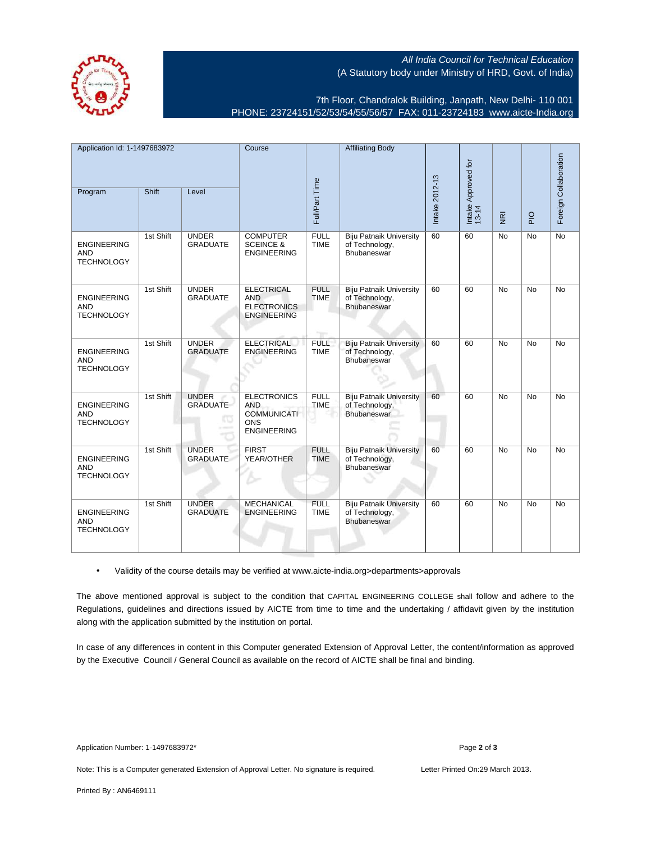

7th Floor, Chandralok Building, Janpath, New Delhi- 110 001 PHONE: 23724151/52/53/54/55/56/57 FAX: 011-23724183 [www.aicte-India.org](http://www.aicte-India.org)

|                                                       | Application Id: 1-1497683972 |                                      | Course                                                                                     |                            | <b>Affiliating Body</b>                                                | Intake 2012-13 |                              |                |               |                       |
|-------------------------------------------------------|------------------------------|--------------------------------------|--------------------------------------------------------------------------------------------|----------------------------|------------------------------------------------------------------------|----------------|------------------------------|----------------|---------------|-----------------------|
| Program                                               | Shift                        | Level                                |                                                                                            |                            | Full/Part Time                                                         |                | Intake Approved for<br>13-14 | $\overline{g}$ | $\frac{1}{2}$ | Foreign Collaboration |
| <b>ENGINEERING</b><br><b>AND</b><br><b>TECHNOLOGY</b> | 1st Shift                    | <b>UNDER</b><br><b>GRADUATE</b>      | <b>COMPUTER</b><br><b>SCEINCE &amp;</b><br><b>ENGINEERING</b>                              | <b>FULL</b><br><b>TIME</b> | <b>Biju Patnaik University</b><br>of Technology,<br><b>Bhubaneswar</b> | 60             | 60                           | <b>No</b>      | <b>No</b>     | No                    |
| <b>ENGINEERING</b><br><b>AND</b><br><b>TECHNOLOGY</b> | 1st Shift                    | <b>UNDER</b><br><b>GRADUATE</b>      | <b>ELECTRICAL</b><br><b>AND</b><br><b>ELECTRONICS</b><br><b>ENGINEERING</b>                | <b>FULL</b><br><b>TIME</b> | <b>Biju Patnaik University</b><br>of Technology,<br><b>Bhubaneswar</b> | 60             | 60                           | <b>No</b>      | <b>No</b>     | <b>No</b>             |
| <b>ENGINEERING</b><br><b>AND</b><br><b>TECHNOLOGY</b> | 1st Shift                    | <b>UNDER</b><br><b>GRADUATE</b>      | <b>ELECTRICAL</b><br><b>ENGINEERING</b>                                                    | <b>FULL</b><br><b>TIME</b> | <b>Biju Patnaik University</b><br>of Technology,<br>Bhubaneswar        | 60             | 60                           | <b>No</b>      | <b>No</b>     | <b>No</b>             |
| <b>ENGINEERING</b><br><b>AND</b><br><b>TECHNOLOGY</b> | 1st Shift                    | <b>UNDER</b><br><b>GRADUATE</b><br>ത | <b>ELECTRONICS</b><br><b>AND</b><br><b>COMMUNICATI</b><br><b>ONS</b><br><b>ENGINEERING</b> | <b>FULL</b><br><b>TIME</b> | <b>Biju Patnaik University</b><br>of Technology,<br><b>Bhubaneswar</b> | 60             | 60                           | <b>No</b>      | <b>No</b>     | <b>No</b>             |
| <b>ENGINEERING</b><br><b>AND</b><br><b>TECHNOLOGY</b> | 1st Shift                    | <b>UNDER</b><br><b>GRADUATE</b>      | <b>FIRST</b><br>YEAR/OTHER                                                                 | <b>FULL</b><br><b>TIME</b> | <b>Biju Patnaik University</b><br>of Technology,<br><b>Bhubaneswar</b> | 60             | 60                           | <b>No</b>      | No            | No                    |
| <b>ENGINEERING</b><br><b>AND</b><br><b>TECHNOLOGY</b> | 1st Shift                    | <b>UNDER</b><br><b>GRADUATE</b>      | <b>MECHANICAL</b><br><b>ENGINEERING</b>                                                    | <b>FULL</b><br><b>TIME</b> | <b>Biju Patnaik University</b><br>of Technology,<br><b>Bhubaneswar</b> | 60             | 60                           | <b>No</b>      | <b>No</b>     | <b>No</b>             |

• Validity of the course details may be verified at www.aicte-india.org>departments>approvals

The above mentioned approval is subject to the condition that CAPITAL ENGINEERING COLLEGE shall follow and adhere to the Regulations, guidelines and directions issued by AICTE from time to time and the undertaking / affidavit given by the institution along with the application submitted by the institution on portal.

In case of any differences in content in this Computer generated Extension of Approval Letter, the content/information as approved by the Executive Council / General Council as available on the record of AICTE shall be final and binding.

Note: This is a Computer generated Extension of Approval Letter. No signature is required. Letter Printed On:29 March 2013.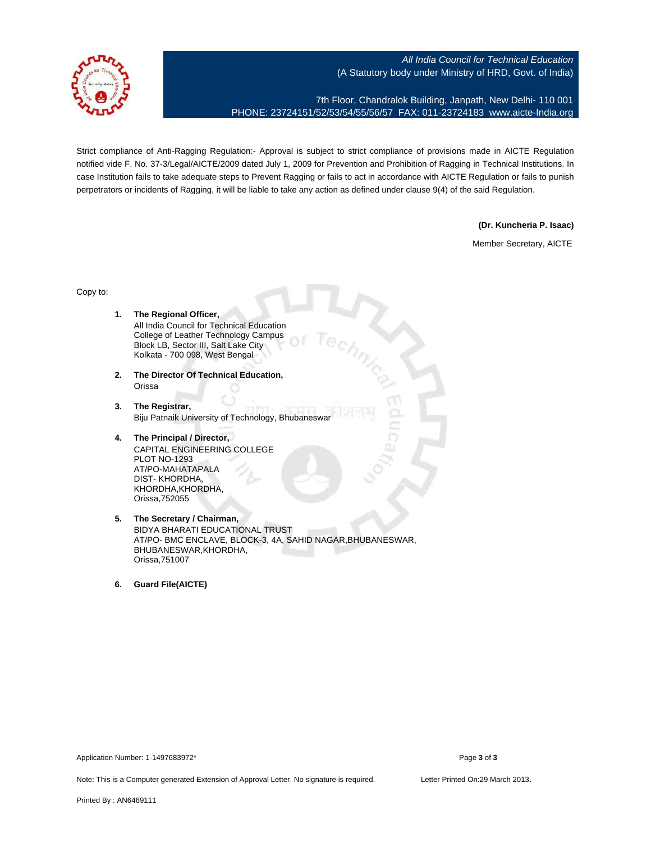

7th Floor, Chandralok Building, Janpath, New Delhi- 110 001 PHONE: 23724151/52/53/54/55/56/57 FAX: 011-23724183 [www.aicte-India.org](http://www.aicte-India.org)

**Mean** 

Strict compliance of Anti-Ragging Regulation:- Approval is subject to strict compliance of provisions made in AICTE Regulation notified vide F. No. 37-3/Legal/AICTE/2009 dated July 1, 2009 for Prevention and Prohibition of Ragging in Technical Institutions. In case Institution fails to take adequate steps to Prevent Ragging or fails to act in accordance with AICTE Regulation or fails to punish perpetrators or incidents of Ragging, it will be liable to take any action as defined under clause 9(4) of the said Regulation.

**(Dr. Kuncheria P. Isaac)**

Member Secretary, AICTE

Copy to:

- **1. The Regional Officer,** All India Council for Technical Education College of Leather Technology Campus Block LB, Sector III, Salt Lake City Kolkata - 700 098, West Bengal
- **2. The Director Of Technical Education,** Orissa
- **3. The Registrar,** Biju Patnaik University of Technology, Bhubaneswar
- **4. The Principal / Director,** CAPITAL ENGINEERING COLLEGE PLOT NO-1293 AT/PO-MAHATAPALA DIST- KHORDHA, KHORDHA,KHORDHA, Orissa,752055
- **5. The Secretary / Chairman,** BIDYA BHARATI EDUCATIONAL TRUST AT/PO- BMC ENCLAVE, BLOCK-3, 4A, SAHID NAGAR,BHUBANESWAR, BHUBANESWAR,KHORDHA, Orissa,751007
- **6. Guard File(AICTE)**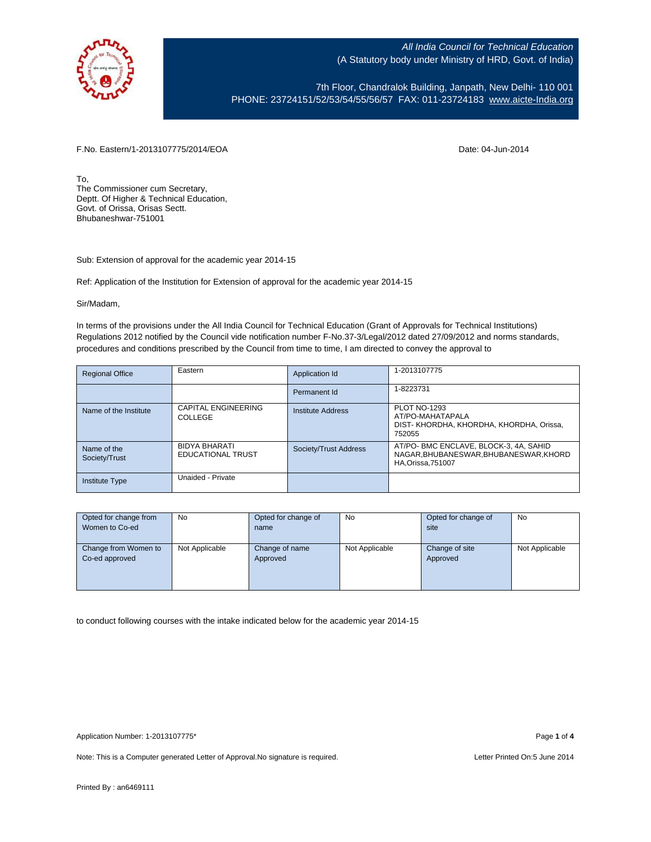

7th Floor, Chandralok Building, Janpath, New Delhi- 110 001 PHONE: 23724151/52/53/54/55/56/57 FAX: 011-23724183 [www.aicte-India.org](http://www.aicte-india.org/)

F.No. Eastern/1-2013107775/2014/EOA Date: 04-Jun-2014

To, The Commissioner cum Secretary, Deptt. Of Higher & Technical Education, Govt. of Orissa, Orisas Sectt. Bhubaneshwar-751001

Sub: Extension of approval for the academic year 2014-15

Ref: Application of the Institution for Extension of approval for the academic year 2014-15

Sir/Madam,

In terms of the provisions under the All India Council for Technical Education (Grant of Approvals for Technical Institutions) Regulations 2012 notified by the Council vide notification number F-No.37-3/Legal/2012 dated 27/09/2012 and norms standards, procedures and conditions prescribed by the Council from time to time, I am directed to convey the approval to

| <b>Regional Office</b>       | Eastern                                   | Application Id        | 1-2013107775                                                                                                |
|------------------------------|-------------------------------------------|-----------------------|-------------------------------------------------------------------------------------------------------------|
|                              |                                           | Permanent Id          | 1-8223731                                                                                                   |
| Name of the Institute        | CAPITAL ENGINEERING<br>COLLEGE            | Institute Address     | <b>PLOT NO-1293</b><br>AT/PO-MAHATAPALA<br>DIST-KHORDHA, KHORDHA, KHORDHA, Orissa,<br>752055                |
| Name of the<br>Society/Trust | <b>BIDYA BHARATI</b><br>EDUCATIONAL TRUST | Society/Trust Address | AT/PO- BMC ENCLAVE, BLOCK-3, 4A, SAHID<br>NAGAR, BHUBANESWAR, BHUBANESWAR, KHORD<br><b>HA.Orissa.751007</b> |
| <b>Institute Type</b>        | Unaided - Private                         |                       |                                                                                                             |

| Opted for change from | <b>No</b>      | Opted for change of | <b>No</b>      | Opted for change of | <b>No</b>      |
|-----------------------|----------------|---------------------|----------------|---------------------|----------------|
| Women to Co-ed        |                | name                |                | site                |                |
|                       |                |                     |                |                     |                |
| Change from Women to  | Not Applicable | Change of name      | Not Applicable | Change of site      | Not Applicable |
| Co-ed approved        |                | Approved            |                | Approved            |                |
|                       |                |                     |                |                     |                |
|                       |                |                     |                |                     |                |
|                       |                |                     |                |                     |                |

to conduct following courses with the intake indicated below for the academic year 2014-15

Note: This is a Computer generated Letter of Approval. No signature is required. Letter Printed On:5 June 2014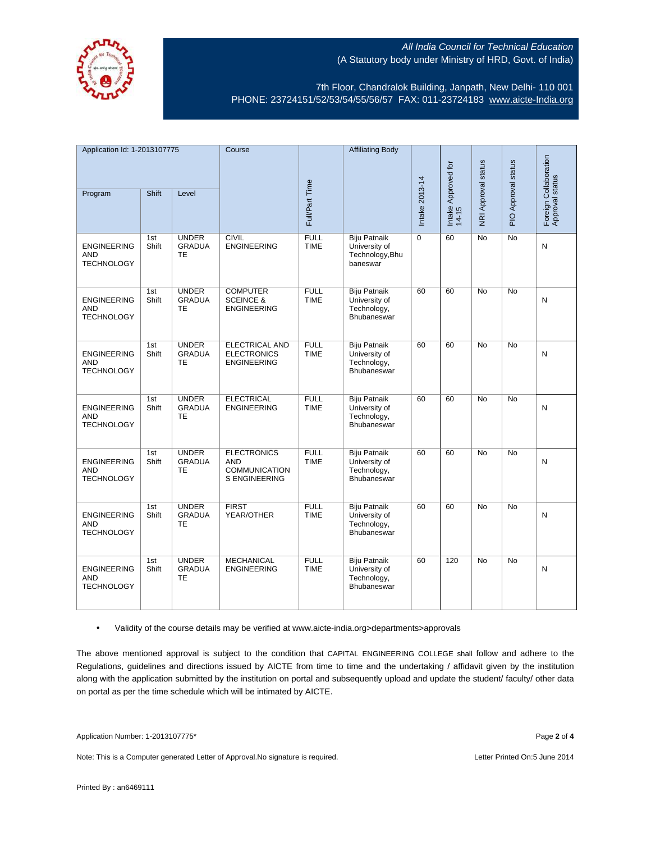

7th Floor, Chandralok Building, Janpath, New Delhi- 110 001 PHONE: 23724151/52/53/54/55/56/57 FAX: 011-23724183 [www.aicte-India.org](http://www.aicte-india.org/)

| Application Id: 1-2013107775                          |              |                                            | Course                                                                           |                            | <b>Affiliating Body</b>                                            |                |                              |                     |                     |                                          |
|-------------------------------------------------------|--------------|--------------------------------------------|----------------------------------------------------------------------------------|----------------------------|--------------------------------------------------------------------|----------------|------------------------------|---------------------|---------------------|------------------------------------------|
|                                                       |              |                                            |                                                                                  |                            |                                                                    |                |                              |                     |                     |                                          |
| Program                                               | Shift        | Level                                      |                                                                                  | Full/Part Time             |                                                                    | Intake 2013-14 | Intake Approved for<br>14-15 | NRI Approval status | PIO Approval status | Foreign Collaboration<br>Approval status |
| <b>ENGINEERING</b><br><b>AND</b><br><b>TECHNOLOGY</b> | 1st<br>Shift | <b>UNDER</b><br><b>GRADUA</b><br><b>TE</b> | <b>CIVIL</b><br><b>ENGINEERING</b>                                               | <b>FULL</b><br><b>TIME</b> | Biju Patnaik<br>University of<br>Technology, Bhu<br>baneswar       | $\overline{0}$ | 60                           | No                  | No                  | N                                        |
| <b>ENGINEERING</b><br><b>AND</b><br><b>TECHNOLOGY</b> | 1st<br>Shift | <b>UNDER</b><br><b>GRADUA</b><br>TE        | <b>COMPUTER</b><br><b>SCEINCE &amp;</b><br><b>ENGINEERING</b>                    | <b>FULL</b><br><b>TIME</b> | Biju Patnaik<br>University of<br>Technology,<br>Bhubaneswar        | 60             | 60                           | <b>No</b>           | <b>No</b>           | N                                        |
| <b>ENGINEERING</b><br><b>AND</b><br><b>TECHNOLOGY</b> | 1st<br>Shift | <b>UNDER</b><br><b>GRADUA</b><br><b>TE</b> | <b>ELECTRICAL AND</b><br><b>ELECTRONICS</b><br><b>ENGINEERING</b>                | <b>FULL</b><br><b>TIME</b> | <b>Biju Patnaik</b><br>University of<br>Technology,<br>Bhubaneswar | 60             | 60                           | No                  | <b>No</b>           | N                                        |
| <b>ENGINEERING</b><br><b>AND</b><br><b>TECHNOLOGY</b> | 1st<br>Shift | <b>UNDER</b><br><b>GRADUA</b><br><b>TE</b> | <b>ELECTRICAL</b><br><b>ENGINEERING</b>                                          | <b>FULL</b><br><b>TIME</b> | <b>Biju Patnaik</b><br>University of<br>Technology,<br>Bhubaneswar | 60             | 60                           | <b>No</b>           | <b>No</b>           | N                                        |
| <b>ENGINEERING</b><br><b>AND</b><br><b>TECHNOLOGY</b> | 1st<br>Shift | <b>UNDER</b><br><b>GRADUA</b><br>TE        | <b>ELECTRONICS</b><br><b>AND</b><br><b>COMMUNICATION</b><br><b>S ENGINEERING</b> | <b>FULL</b><br><b>TIME</b> | Biju Patnaik<br>University of<br>Technology,<br>Bhubaneswar        | 60             | 60                           | <b>No</b>           | <b>No</b>           | N                                        |
| <b>ENGINEERING</b><br><b>AND</b><br><b>TECHNOLOGY</b> | 1st<br>Shift | <b>UNDER</b><br><b>GRADUA</b><br>TE        | <b>FIRST</b><br>YEAR/OTHER                                                       | <b>FULL</b><br><b>TIME</b> | Biju Patnaik<br>University of<br>Technology,<br>Bhubaneswar        | 60             | 60                           | <b>No</b>           | <b>No</b>           | N                                        |
| <b>ENGINEERING</b><br><b>AND</b><br><b>TECHNOLOGY</b> | 1st<br>Shift | <b>UNDER</b><br><b>GRADUA</b><br><b>TE</b> | <b>MECHANICAL</b><br><b>ENGINEERING</b>                                          | <b>FULL</b><br><b>TIME</b> | <b>Biju Patnaik</b><br>University of<br>Technology,<br>Bhubaneswar | 60             | 120                          | <b>No</b>           | <b>No</b>           | N                                        |

#### • Validity of the course details may be verified at www.aicte-india.org>departments>approvals

The above mentioned approval is subject to the condition that CAPITAL ENGINEERING COLLEGE shall follow and adhere to the Regulations, guidelines and directions issued by AICTE from time to time and the undertaking / affidavit given by the institution along with the application submitted by the institution on portal and subsequently upload and update the student/ faculty/ other data on portal as per the time schedule which will be intimated by AICTE.

Note: This is a Computer generated Letter of Approval. No signature is required. Letter Printed On:5 June 2014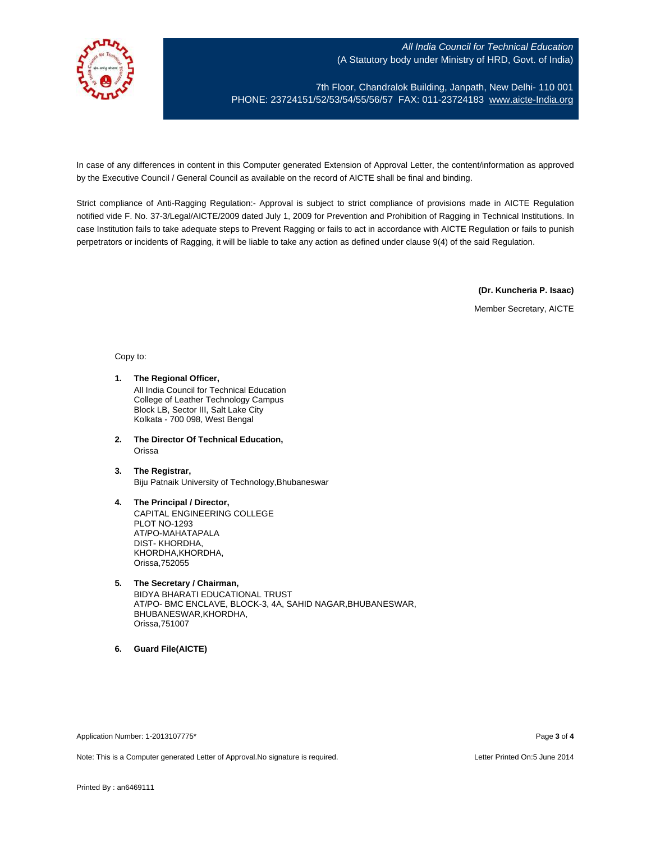

7th Floor, Chandralok Building, Janpath, New Delhi- 110 001 PHONE: 23724151/52/53/54/55/56/57 FAX: 011-23724183 [www.aicte-India.org](http://www.aicte-india.org/)

In case of any differences in content in this Computer generated Extension of Approval Letter, the content/information as approved by the Executive Council / General Council as available on the record of AICTE shall be final and binding.

Strict compliance of Anti-Ragging Regulation:- Approval is subject to strict compliance of provisions made in AICTE Regulation notified vide F. No. 37-3/Legal/AICTE/2009 dated July 1, 2009 for Prevention and Prohibition of Ragging in Technical Institutions. In case Institution fails to take adequate steps to Prevent Ragging or fails to act in accordance with AICTE Regulation or fails to punish perpetrators or incidents of Ragging, it will be liable to take any action as defined under clause 9(4) of the said Regulation.

**(Dr. Kuncheria P. Isaac)**

Member Secretary, AICTE

Copy to:

- **1. The Regional Officer,** All India Council for Technical Education College of Leather Technology Campus Block LB, Sector III, Salt Lake City Kolkata - 700 098, West Bengal
- **2. The Director Of Technical Education,** Orissa
- **3. The Registrar,** Biju Patnaik University of Technology,Bhubaneswar
- **4. The Principal / Director,** CAPITAL ENGINEERING COLLEGE PLOT NO-1293 AT/PO-MAHATAPALA DIST- KHORDHA, KHORDHA,KHORDHA, Orissa,752055
- **5. The Secretary / Chairman,** BIDYA BHARATI EDUCATIONAL TRUST AT/PO- BMC ENCLAVE, BLOCK-3, 4A, SAHID NAGAR,BHUBANESWAR, BHUBANESWAR,KHORDHA, Orissa,751007
- **6. Guard File(AICTE)**

Application Number: 1-2013107775\* Page **3** of **4**

Note: This is a Computer generated Letter of Approval.No signature is required. Letter Printed On:5 June 2014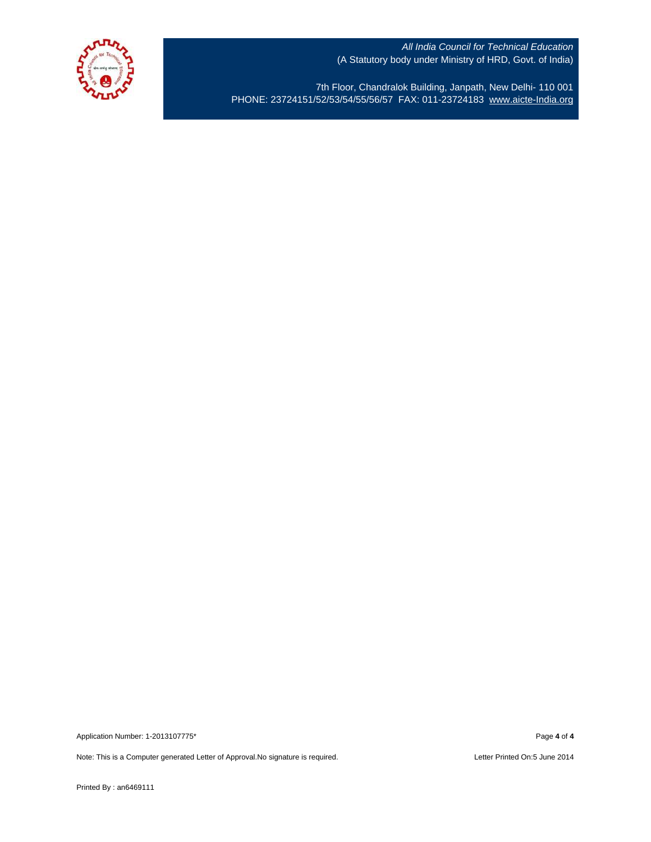7th Floor, Chandralok Building, Janpath, New Delhi- 110 001 PHONE: 23724151/52/53/54/55/56/57 FAX: 011-23724183 [www.aicte-India.org](http://www.aicte-india.org/)



Application Number: 1-2013107775\* Page **4** of **4**

Note: This is a Computer generated Letter of Approval. No signature is required. Letter Printed On:5 June 2014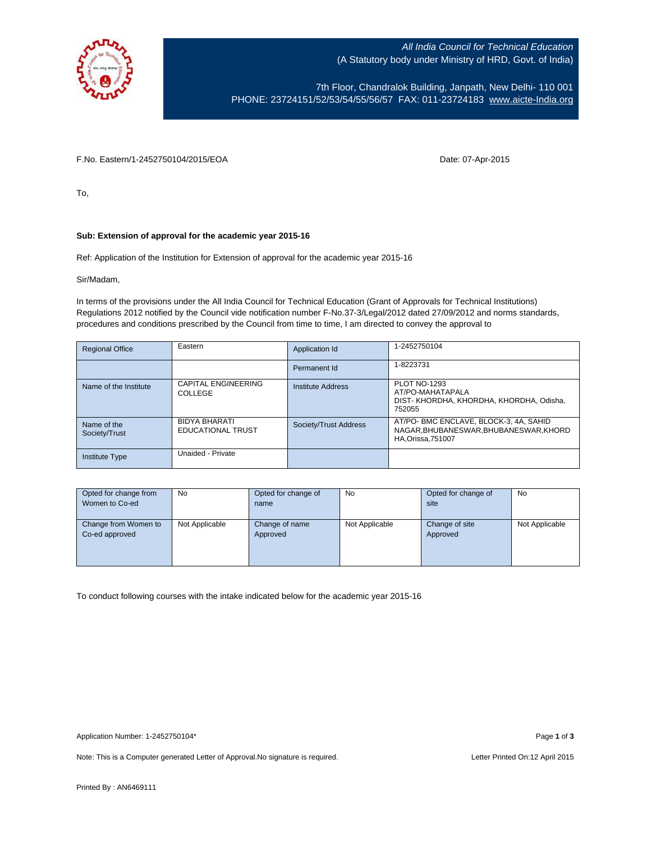

7th Floor, Chandralok Building, Janpath, New Delhi- 110 001 PHONE: 23724151/52/53/54/55/56/57 FAX: 011-23724183 [www.aicte-India.org](http://www.aicte-india.org/)

F.No. Eastern/1-2452750104/2015/EOA Date: 07-Apr-2015

To,

#### **Sub: Extension of approval for the academic year 2015-16**

Ref: Application of the Institution for Extension of approval for the academic year 2015-16

Sir/Madam,

In terms of the provisions under the All India Council for Technical Education (Grant of Approvals for Technical Institutions) Regulations 2012 notified by the Council vide notification number F-No.37-3/Legal/2012 dated 27/09/2012 and norms standards, procedures and conditions prescribed by the Council from time to time, I am directed to convey the approval to

| <b>Regional Office</b>       | Eastern                                   | Application Id           | 1-2452750104                                                                                                |
|------------------------------|-------------------------------------------|--------------------------|-------------------------------------------------------------------------------------------------------------|
|                              |                                           | Permanent Id             | 1-8223731                                                                                                   |
| Name of the Institute        | CAPITAL ENGINEERING<br>COLLEGE            | <b>Institute Address</b> | <b>PLOT NO-1293</b><br>AT/PO-MAHATAPALA<br>DIST-KHORDHA, KHORDHA, KHORDHA, Odisha,<br>752055                |
| Name of the<br>Society/Trust | BIDYA BHARATI<br><b>EDUCATIONAL TRUST</b> | Society/Trust Address    | AT/PO- BMC ENCLAVE, BLOCK-3, 4A, SAHID<br>NAGAR, BHUBANESWAR, BHUBANESWAR, KHORD<br><b>HA.Orissa.751007</b> |
| <b>Institute Type</b>        | Unaided - Private                         |                          |                                                                                                             |

| Opted for change from<br>Women to Co-ed | No             | Opted for change of<br>name | No             | Opted for change of<br>site | <b>No</b>      |
|-----------------------------------------|----------------|-----------------------------|----------------|-----------------------------|----------------|
| Change from Women to<br>Co-ed approved  | Not Applicable | Change of name<br>Approved  | Not Applicable | Change of site<br>Approved  | Not Applicable |

To conduct following courses with the intake indicated below for the academic year 2015-16

Note: This is a Computer generated Letter of Approval. No signature is required. Letter Printed On:12 April 2015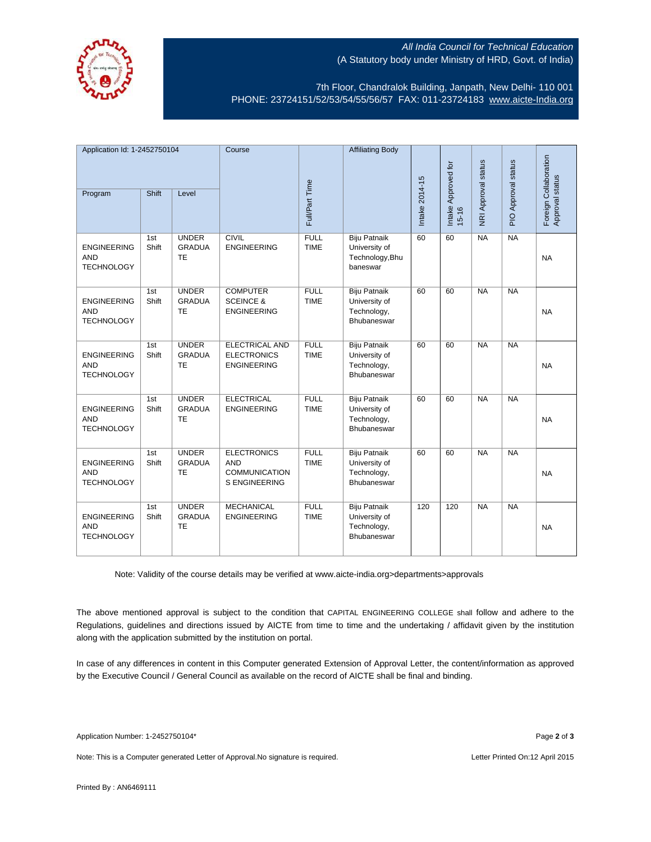

7th Floor, Chandralok Building, Janpath, New Delhi- 110 001 PHONE: 23724151/52/53/54/55/56/57 FAX: 011-23724183 [www.aicte-India.org](http://www.aicte-india.org/)

| Application Id: 1-2452750104                          |              |                                            | Course                                                                           |                            | <b>Affiliating Body</b>                                            |                                  |                     |                     |                                          |           |
|-------------------------------------------------------|--------------|--------------------------------------------|----------------------------------------------------------------------------------|----------------------------|--------------------------------------------------------------------|----------------------------------|---------------------|---------------------|------------------------------------------|-----------|
| Shift<br>Level<br>Program                             |              |                                            | Full/Part Time                                                                   |                            | Intake 2014-15                                                     | Intake Approved for<br>$15 - 16$ | NRI Approval status | PIO Approval status | Foreign Collaboration<br>Approval status |           |
| <b>ENGINEERING</b><br><b>AND</b><br><b>TECHNOLOGY</b> | 1st<br>Shift | <b>UNDER</b><br><b>GRADUA</b><br><b>TE</b> | <b>CIVIL</b><br><b>ENGINEERING</b>                                               | <b>FULL</b><br><b>TIME</b> | Biju Patnaik<br>University of<br>Technology, Bhu<br>baneswar       | 60                               | 60                  | NA                  | NA                                       | <b>NA</b> |
| <b>ENGINEERING</b><br><b>AND</b><br><b>TECHNOLOGY</b> | 1st<br>Shift | <b>UNDER</b><br><b>GRADUA</b><br><b>TE</b> | <b>COMPUTER</b><br><b>SCEINCE &amp;</b><br><b>ENGINEERING</b>                    | <b>FULL</b><br><b>TIME</b> | Biju Patnaik<br>University of<br>Technology,<br>Bhubaneswar        | 60                               | 60                  | NA                  | NA                                       | <b>NA</b> |
| <b>ENGINEERING</b><br><b>AND</b><br><b>TECHNOLOGY</b> | 1st<br>Shift | <b>UNDER</b><br><b>GRADUA</b><br><b>TE</b> | <b>ELECTRICAL AND</b><br><b>ELECTRONICS</b><br><b>ENGINEERING</b>                | <b>FULL</b><br><b>TIME</b> | <b>Biju Patnaik</b><br>University of<br>Technology,<br>Bhubaneswar | 60                               | 60                  | NA                  | NA                                       | <b>NA</b> |
| <b>ENGINEERING</b><br><b>AND</b><br><b>TECHNOLOGY</b> | 1st<br>Shift | <b>UNDER</b><br><b>GRADUA</b><br>TE        | <b>ELECTRICAL</b><br><b>ENGINEERING</b>                                          | <b>FULL</b><br><b>TIME</b> | Biju Patnaik<br>University of<br>Technology,<br><b>Bhubaneswar</b> | 60                               | 60                  | <b>NA</b>           | NA                                       | <b>NA</b> |
| <b>ENGINEERING</b><br><b>AND</b><br><b>TECHNOLOGY</b> | 1st<br>Shift | <b>UNDER</b><br><b>GRADUA</b><br><b>TE</b> | <b>ELECTRONICS</b><br><b>AND</b><br><b>COMMUNICATION</b><br><b>S ENGINEERING</b> | <b>FULL</b><br><b>TIME</b> | <b>Biju Patnaik</b><br>University of<br>Technology,<br>Bhubaneswar | 60                               | 60                  | NA                  | NA                                       | <b>NA</b> |
| <b>ENGINEERING</b><br><b>AND</b><br><b>TECHNOLOGY</b> | 1st<br>Shift | <b>UNDER</b><br><b>GRADUA</b><br><b>TE</b> | <b>MECHANICAL</b><br><b>ENGINEERING</b>                                          | <b>FULL</b><br><b>TIME</b> | <b>Biju Patnaik</b><br>University of<br>Technology,<br>Bhubaneswar | 120                              | 120                 | NA                  | NA                                       | <b>NA</b> |

Note: Validity of the course details may be verified at www.aicte-india.org>departments>approvals

The above mentioned approval is subject to the condition that CAPITAL ENGINEERING COLLEGE shall follow and adhere to the Regulations, guidelines and directions issued by AICTE from time to time and the undertaking / affidavit given by the institution along with the application submitted by the institution on portal.

In case of any differences in content in this Computer generated Extension of Approval Letter, the content/information as approved by the Executive Council / General Council as available on the record of AICTE shall be final and binding.

Note: This is a Computer generated Letter of Approval. No signature is required. Letter Printed On:12 April 2015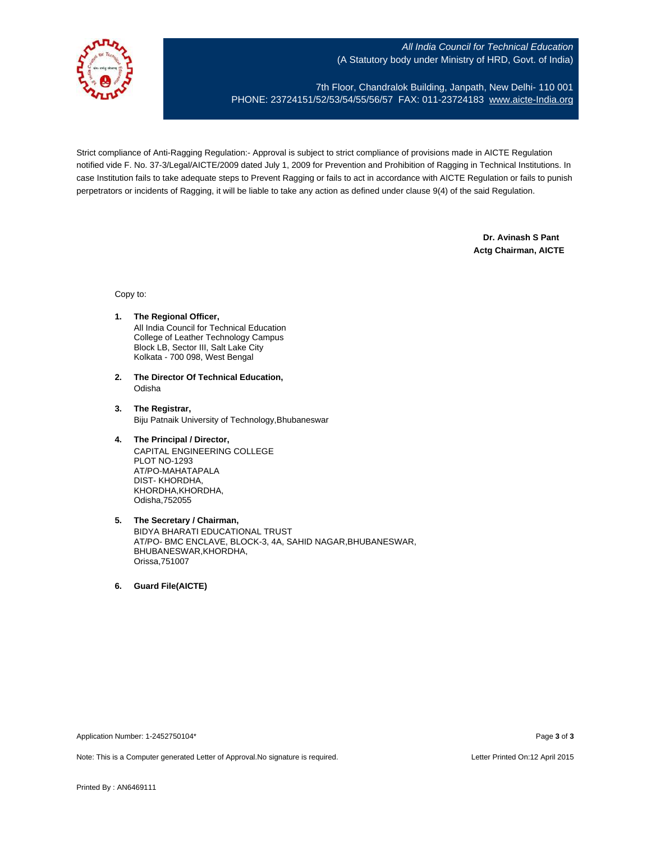

7th Floor, Chandralok Building, Janpath, New Delhi- 110 001 PHONE: 23724151/52/53/54/55/56/57 FAX: 011-23724183 [www.aicte-India.org](http://www.aicte-india.org/)

Strict compliance of Anti-Ragging Regulation:- Approval is subject to strict compliance of provisions made in AICTE Regulation notified vide F. No. 37-3/Legal/AICTE/2009 dated July 1, 2009 for Prevention and Prohibition of Ragging in Technical Institutions. In case Institution fails to take adequate steps to Prevent Ragging or fails to act in accordance with AICTE Regulation or fails to punish perpetrators or incidents of Ragging, it will be liable to take any action as defined under clause 9(4) of the said Regulation.

> **Dr. Avinash S Pant Actg Chairman, AICTE**

Copy to:

- **1. The Regional Officer,** All India Council for Technical Education College of Leather Technology Campus Block LB, Sector III, Salt Lake City Kolkata - 700 098, West Bengal
- **2. The Director Of Technical Education,** Odisha
- **3. The Registrar,** Biju Patnaik University of Technology,Bhubaneswar
- **4. The Principal / Director,** CAPITAL ENGINEERING COLLEGE PLOT NO-1293 AT/PO-MAHATAPALA DIST- KHORDHA, KHORDHA,KHORDHA, Odisha,752055
- **5. The Secretary / Chairman,** BIDYA BHARATI EDUCATIONAL TRUST AT/PO- BMC ENCLAVE, BLOCK-3, 4A, SAHID NAGAR,BHUBANESWAR, BHUBANESWAR,KHORDHA, Orissa,751007
- **6. Guard File(AICTE)**

Note: This is a Computer generated Letter of Approval.No signature is required. Letter According the state of the Letter Printed On:12 April 2015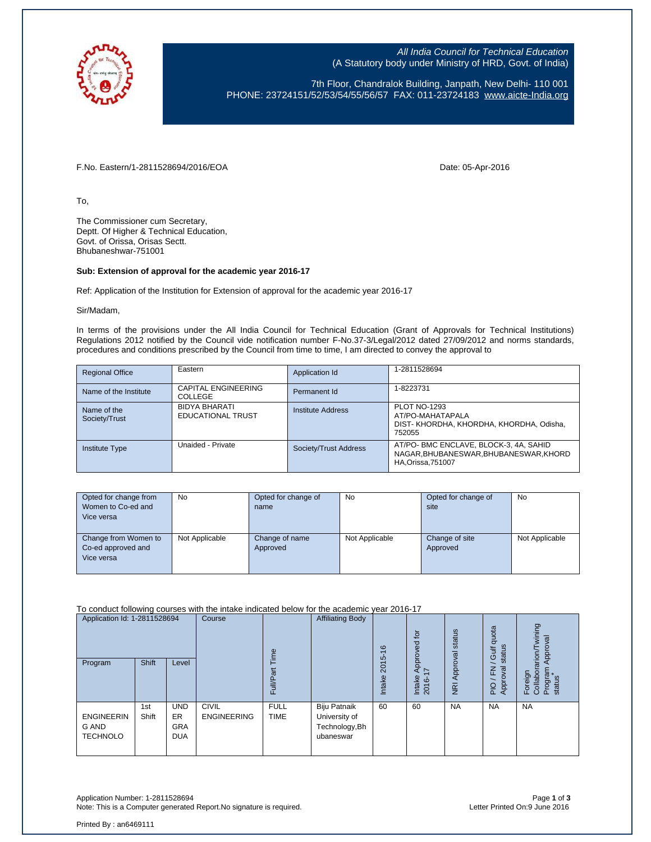

7th Floor, Chandralok Building, Janpath, New Delhi- 110 001 PHONE: 23724151/52/53/54/55/56/57 FAX: 011-23724183 [www.aicte-India.org](http://www.aicte-india.org/)

F.No. Eastern/1-2811528694/2016/EOA Date: 05-Apr-2016

To,

The Commissioner cum Secretary, Deptt. Of Higher & Technical Education, Govt. of Orissa, Orisas Sectt. Bhubaneshwar-751001

#### **Sub: Extension of approval for the academic year 2016-17**

Ref: Application of the Institution for Extension of approval for the academic year 2016-17

Sir/Madam,

In terms of the provisions under the All India Council for Technical Education (Grant of Approvals for Technical Institutions) Regulations 2012 notified by the Council vide notification number F-No.37-3/Legal/2012 dated 27/09/2012 and norms standards, procedures and conditions prescribed by the Council from time to time, I am directed to convey the approval to

| <b>Regional Office</b>       | Eastern                            | Application Id           | 1-2811528694                                                                                                  |
|------------------------------|------------------------------------|--------------------------|---------------------------------------------------------------------------------------------------------------|
| Name of the Institute        | CAPITAL ENGINEERING<br>COLLEGE     | Permanent Id             | 1-8223731                                                                                                     |
| Name of the<br>Society/Trust | BIDYA BHARATI<br>EDUCATIONAL TRUST | <b>Institute Address</b> | <b>PLOT NO-1293</b><br>AT/PO-MAHATAPALA<br>DIST-KHORDHA, KHORDHA, KHORDHA, Odisha,<br>752055                  |
| <b>Institute Type</b>        | Unaided - Private                  | Society/Trust Address    | AT/PO- BMC ENCLAVE, BLOCK-3, 4A, SAHID<br>NAGAR, BHUBANESWAR, BHUBANESWAR, KHORD<br><b>HA, Orissa, 751007</b> |

| Opted for change from | No             | Opted for change of | <b>No</b>      | Opted for change of | <b>No</b>      |
|-----------------------|----------------|---------------------|----------------|---------------------|----------------|
| Women to Co-ed and    |                | name                |                | site                |                |
| Vice versa            |                |                     |                |                     |                |
|                       |                |                     |                |                     |                |
| Change from Women to  | Not Applicable | Change of name      | Not Applicable | Change of site      | Not Applicable |
| Co-ed approved and    |                | Approved            |                | Approved            |                |
| Vice versa            |                |                     |                |                     |                |
|                       |                |                     |                |                     |                |

To conduct following courses with the intake indicated below for the academic year 2016-17

| Application Id: 1-2811528694<br>Program       | <b>Shift</b> | Level                                               | Course                             | euil<br>ά<br>FullP         | <b>Affiliating Body</b>                                      | $\frac{6}{5}$<br>2015<br>Intake | ğ<br>yed<br>Approv<br>$\overline{\phantom{0}}$<br>Intake<br>2016- | Approval status<br>$\overline{z}$ | quota<br>9<br><b>Gulf</b><br>statu<br>∽<br>준<br>ত্ত্<br>Appro<br>$\overline{P}$ | wining<br>Approval<br>arion/T<br>Collabor<br>Program<br>Foreign<br>status |
|-----------------------------------------------|--------------|-----------------------------------------------------|------------------------------------|----------------------------|--------------------------------------------------------------|---------------------------------|-------------------------------------------------------------------|-----------------------------------|---------------------------------------------------------------------------------|---------------------------------------------------------------------------|
| <b>ENGINEERIN</b><br>G AND<br><b>TECHNOLO</b> | 1st<br>Shift | <b>UND</b><br><b>ER</b><br><b>GRA</b><br><b>DUA</b> | <b>CIVIL</b><br><b>ENGINEERING</b> | <b>FULL</b><br><b>TIME</b> | Biju Patnaik<br>University of<br>Technology, Bh<br>ubaneswar | 60                              | 60                                                                | <b>NA</b>                         | <b>NA</b>                                                                       | <b>NA</b>                                                                 |

Application Number: 1-2811528694 Page **1** of **3** Note: This is a Computer generated Report.No signature is required.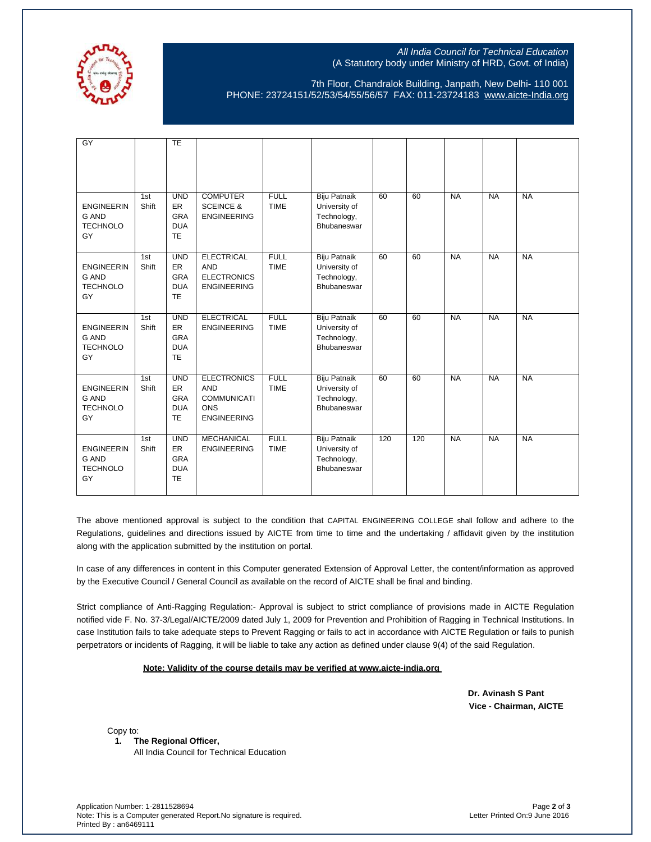

7th Floor, Chandralok Building, Janpath, New Delhi- 110 001 PHONE: 23724151/52/53/54/55/56/57 FAX: 011-23724183 [www.aicte-India.org](http://www.aicte-india.org/)

|                                                            |              | <b>TE</b>                                                        |                                                                                            |                            |                                                                    |     |     |           |           |           |
|------------------------------------------------------------|--------------|------------------------------------------------------------------|--------------------------------------------------------------------------------------------|----------------------------|--------------------------------------------------------------------|-----|-----|-----------|-----------|-----------|
| GY                                                         |              |                                                                  |                                                                                            |                            |                                                                    |     |     |           |           |           |
| <b>ENGINEERIN</b><br><b>G AND</b><br><b>TECHNOLO</b><br>GY | 1st<br>Shift | <b>UND</b><br>ER<br><b>GRA</b><br><b>DUA</b><br><b>TE</b>        | <b>COMPUTER</b><br><b>SCEINCE &amp;</b><br><b>ENGINEERING</b>                              | <b>FULL</b><br><b>TIME</b> | <b>Biju Patnaik</b><br>University of<br>Technology,<br>Bhubaneswar | 60  | 60  | <b>NA</b> | <b>NA</b> | <b>NA</b> |
| <b>ENGINEERIN</b><br><b>G AND</b><br><b>TECHNOLO</b><br>GY | 1st<br>Shift | <b>UND</b><br>ER<br>GRA<br><b>DUA</b><br><b>TE</b>               | <b>ELECTRICAL</b><br><b>AND</b><br><b>ELECTRONICS</b><br><b>ENGINEERING</b>                | <b>FULL</b><br><b>TIME</b> | <b>Biju Patnaik</b><br>University of<br>Technology,<br>Bhubaneswar | 60  | 60  | <b>NA</b> | <b>NA</b> | <b>NA</b> |
| <b>ENGINEERIN</b><br><b>G AND</b><br><b>TECHNOLO</b><br>GY | 1st<br>Shift | <b>UND</b><br>ER<br><b>GRA</b><br><b>DUA</b><br><b>TE</b>        | <b>ELECTRICAL</b><br><b>ENGINEERING</b>                                                    | <b>FULL</b><br><b>TIME</b> | <b>Biju Patnaik</b><br>University of<br>Technology,<br>Bhubaneswar | 60  | 60  | <b>NA</b> | <b>NA</b> | <b>NA</b> |
| <b>ENGINEERIN</b><br><b>G AND</b><br><b>TECHNOLO</b><br>GY | 1st<br>Shift | <b>UND</b><br><b>ER</b><br><b>GRA</b><br><b>DUA</b><br><b>TE</b> | <b>ELECTRONICS</b><br><b>AND</b><br><b>COMMUNICATI</b><br><b>ONS</b><br><b>ENGINEERING</b> | <b>FULL</b><br><b>TIME</b> | Biju Patnaik<br>University of<br>Technology,<br>Bhubaneswar        | 60  | 60  | <b>NA</b> | <b>NA</b> | <b>NA</b> |
| <b>ENGINEERIN</b><br><b>G AND</b><br><b>TECHNOLO</b><br>GY | 1st<br>Shift | <b>UND</b><br>ER<br><b>GRA</b><br><b>DUA</b><br><b>TE</b>        | <b>MECHANICAL</b><br><b>ENGINEERING</b>                                                    | <b>FULL</b><br><b>TIME</b> | <b>Biju Patnaik</b><br>University of<br>Technology,<br>Bhubaneswar | 120 | 120 | <b>NA</b> | <b>NA</b> | <b>NA</b> |

The above mentioned approval is subject to the condition that CAPITAL ENGINEERING COLLEGE shall follow and adhere to the Regulations, guidelines and directions issued by AICTE from time to time and the undertaking / affidavit given by the institution along with the application submitted by the institution on portal.

In case of any differences in content in this Computer generated Extension of Approval Letter, the content/information as approved by the Executive Council / General Council as available on the record of AICTE shall be final and binding.

Strict compliance of Anti-Ragging Regulation:- Approval is subject to strict compliance of provisions made in AICTE Regulation notified vide F. No. 37-3/Legal/AICTE/2009 dated July 1, 2009 for Prevention and Prohibition of Ragging in Technical Institutions. In case Institution fails to take adequate steps to Prevent Ragging or fails to act in accordance with AICTE Regulation or fails to punish perpetrators or incidents of Ragging, it will be liable to take any action as defined under clause 9(4) of the said Regulation.

#### **Note: Validity of the course details may be verified at www.aicte-india.org**

 **Dr. Avinash S Pant Vice - Chairman, AICTE**

Copy to:

**1. The Regional Officer,**

All India Council for Technical Education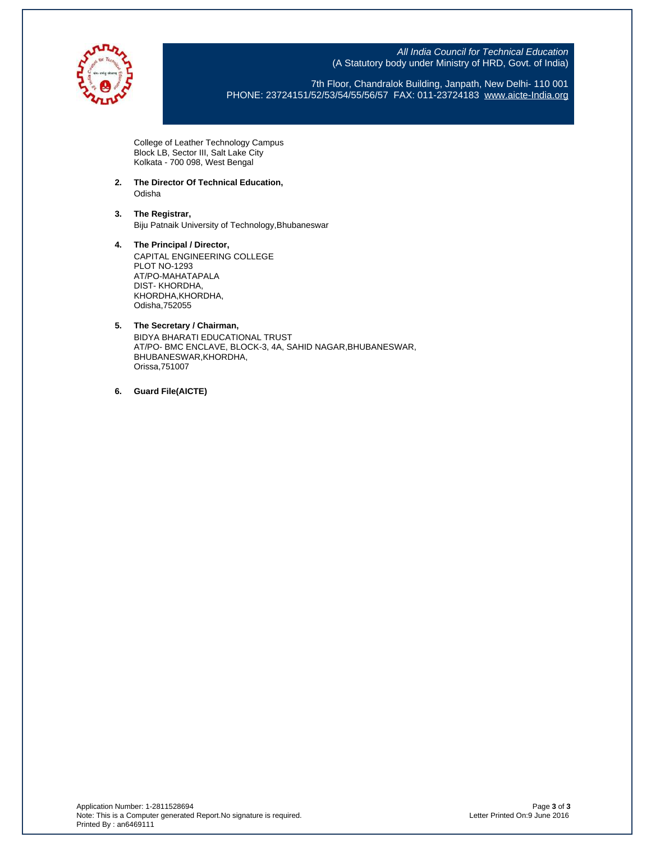

7th Floor, Chandralok Building, Janpath, New Delhi- 110 001 PHONE: 23724151/52/53/54/55/56/57 FAX: 011-23724183 [www.aicte-India.org](http://www.aicte-india.org/)

College of Leather Technology Campus Block LB, Sector III, Salt Lake City Kolkata - 700 098, West Bengal

- **2. The Director Of Technical Education,** Odisha
- **3. The Registrar,** Biju Patnaik University of Technology,Bhubaneswar
- **4. The Principal / Director,** CAPITAL ENGINEERING COLLEGE PLOT NO-1293 AT/PO-MAHATAPALA DIST- KHORDHA, KHORDHA,KHORDHA, Odisha,752055

#### **5. The Secretary / Chairman,** BIDYA BHARATI EDUCATIONAL TRUST AT/PO- BMC ENCLAVE, BLOCK-3, 4A, SAHID NAGAR,BHUBANESWAR, BHUBANESWAR,KHORDHA, Orissa,751007

**6. Guard File(AICTE)**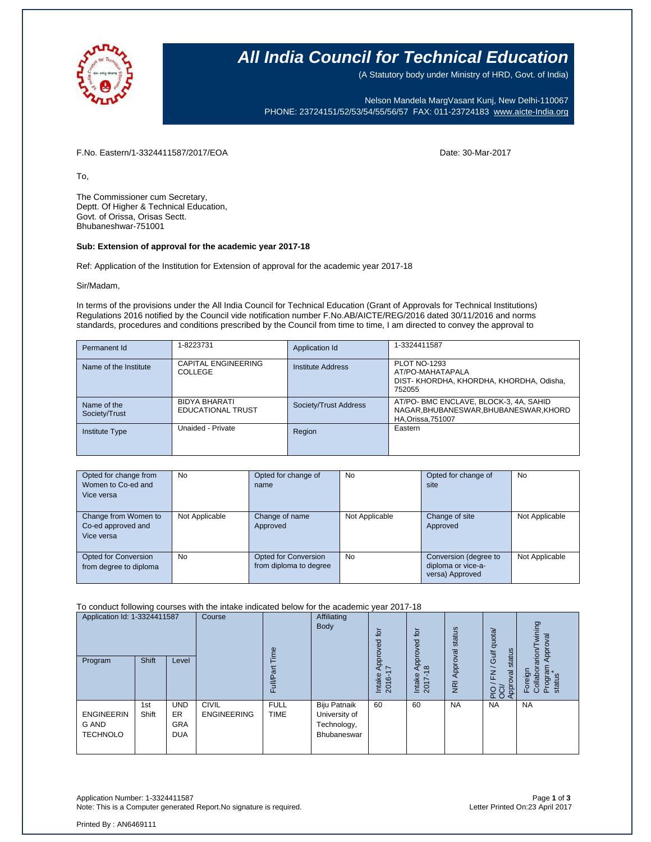

(A Statutory body under Ministry of HRD, Govt. of India)

Nelson Mandela MargVasant Kunj, New Delhi-110067 PHONE: 23724151/52/53/54/55/56/57 FAX: 011-23724183 [www.aicte-India.org](http://www.aicte-india.org/)

F.No. Eastern/1-3324411587/2017/EOA Date: 30-Mar-2017

To,

The Commissioner cum Secretary, Deptt. Of Higher & Technical Education, Govt. of Orissa, Orisas Sectt. Bhubaneshwar-751001

#### **Sub: Extension of approval for the academic year 2017-18**

Ref: Application of the Institution for Extension of approval for the academic year 2017-18

Sir/Madam,

In terms of the provisions under the All India Council for Technical Education (Grant of Approvals for Technical Institutions) Regulations 2016 notified by the Council vide notification number F.No.AB/AICTE/REG/2016 dated 30/11/2016 and norms standards, procedures and conditions prescribed by the Council from time to time, I am directed to convey the approval to

| Permanent Id                 | 1-8223731                             | Application Id        | 1-3324411587                                                                                           |
|------------------------------|---------------------------------------|-----------------------|--------------------------------------------------------------------------------------------------------|
| Name of the Institute        | <b>CAPITAL ENGINEERING</b><br>COLLEGE | Institute Address     | <b>PLOT NO-1293</b><br>AT/PO-MAHATAPALA<br>DIST- KHORDHA, KHORDHA, KHORDHA, Odisha,<br>752055          |
| Name of the<br>Society/Trust | BIDYA BHARATI<br>EDUCATIONAL TRUST    | Society/Trust Address | AT/PO- BMC ENCLAVE, BLOCK-3, 4A, SAHID<br>NAGAR, BHUBANESWAR, BHUBANESWAR, KHORD<br>HA, Orissa, 751007 |
| <b>Institute Type</b>        | Unaided - Private                     | Region                | Eastern                                                                                                |

| Opted for change from<br>Women to Co-ed and<br>Vice versa | No             | Opted for change of<br>name                    | No             | Opted for change of<br>site                                    | No             |
|-----------------------------------------------------------|----------------|------------------------------------------------|----------------|----------------------------------------------------------------|----------------|
| Change from Women to<br>Co-ed approved and<br>Vice versa  | Not Applicable | Change of name<br>Approved                     | Not Applicable | Change of site<br>Approved                                     | Not Applicable |
| Opted for Conversion<br>from degree to diploma            | No             | Opted for Conversion<br>from diploma to degree | No             | Conversion (degree to<br>diploma or vice-a-<br>versa) Approved | Not Applicable |

#### To conduct following courses with the intake indicated below for the academic year 2017-18

| Application Id: 1-3324411587<br>Program       | <b>Shift</b> | Level                                               | Course                             | Time<br>ౚ<br>Full          | Affiliating<br>Body                                         | $\overline{5}$<br>yed<br><b>Appro</b><br>∼<br>Intake<br>2016- | tor<br>Approved<br>$\frac{\infty}{2}$<br>Intake<br>2017 | status<br>NRI Approval | Gulf quota/<br>status<br>$\overline{\phantom{0}}$<br>$\overline{\underline{\epsilon}}$<br>λã<br>PIO / F<br>OCI/<br>Approv | wining<br>Approval<br>Foreign<br>Collaborarion/T<br>Program<br>status |
|-----------------------------------------------|--------------|-----------------------------------------------------|------------------------------------|----------------------------|-------------------------------------------------------------|---------------------------------------------------------------|---------------------------------------------------------|------------------------|---------------------------------------------------------------------------------------------------------------------------|-----------------------------------------------------------------------|
| <b>ENGINEERIN</b><br>G AND<br><b>TECHNOLO</b> | 1st<br>Shift | <b>UND</b><br><b>ER</b><br><b>GRA</b><br><b>DUA</b> | <b>CIVIL</b><br><b>ENGINEERING</b> | <b>FULL</b><br><b>TIME</b> | Biju Patnaik<br>University of<br>Technology,<br>Bhubaneswar | 60                                                            | 60                                                      | <b>NA</b>              | <b>NA</b>                                                                                                                 | <b>NA</b>                                                             |

Application Number: 1-3324411587 Page **1** of **3** Note: This is a Computer generated Report. No signature is required.

Printed By : AN6469111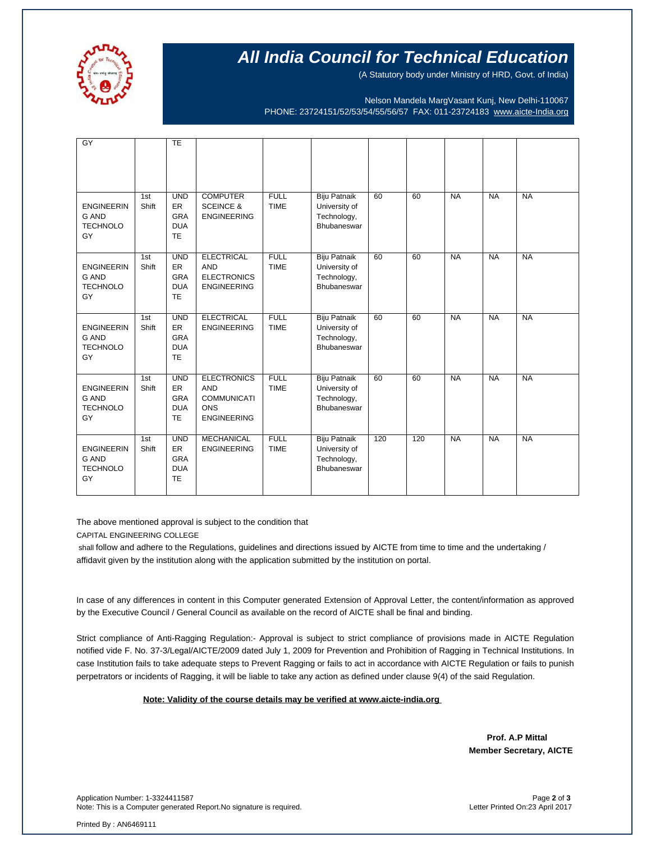

(A Statutory body under Ministry of HRD, Govt. of India)

Nelson Mandela MargVasant Kunj, New Delhi-110067 PHONE: 23724151/52/53/54/55/56/57 FAX: 011-23724183 [www.aicte-India.org](http://www.aicte-india.org/)

| GY                                                         |              | TE                                                               |                                                                                            |                            |                                                                    |     |     |           |           |           |
|------------------------------------------------------------|--------------|------------------------------------------------------------------|--------------------------------------------------------------------------------------------|----------------------------|--------------------------------------------------------------------|-----|-----|-----------|-----------|-----------|
| <b>ENGINEERIN</b><br><b>G AND</b><br><b>TECHNOLO</b><br>GY | 1st<br>Shift | <b>UND</b><br>ER<br><b>GRA</b><br><b>DUA</b><br><b>TE</b>        | <b>COMPUTER</b><br><b>SCEINCE &amp;</b><br><b>ENGINEERING</b>                              | <b>FULL</b><br><b>TIME</b> | Biju Patnaik<br>University of<br>Technology,<br>Bhubaneswar        | 60  | 60  | <b>NA</b> | <b>NA</b> | <b>NA</b> |
| <b>ENGINEERIN</b><br><b>G AND</b><br><b>TECHNOLO</b><br>GY | 1st<br>Shift | <b>UND</b><br>ER<br>GRA<br><b>DUA</b><br><b>TE</b>               | <b>ELECTRICAL</b><br><b>AND</b><br><b>ELECTRONICS</b><br><b>ENGINEERING</b>                | <b>FULL</b><br><b>TIME</b> | Biju Patnaik<br>University of<br>Technology,<br>Bhubaneswar        | 60  | 60  | <b>NA</b> | <b>NA</b> | <b>NA</b> |
| <b>ENGINEERIN</b><br><b>G AND</b><br><b>TECHNOLO</b><br>GY | 1st<br>Shift | <b>UND</b><br>ER<br><b>GRA</b><br><b>DUA</b><br><b>TE</b>        | <b>ELECTRICAL</b><br><b>ENGINEERING</b>                                                    | <b>FULL</b><br><b>TIME</b> | <b>Biju Patnaik</b><br>University of<br>Technology,<br>Bhubaneswar | 60  | 60  | <b>NA</b> | <b>NA</b> | <b>NA</b> |
| <b>ENGINEERIN</b><br><b>G AND</b><br><b>TECHNOLO</b><br>GY | 1st<br>Shift | <b>UND</b><br><b>ER</b><br><b>GRA</b><br><b>DUA</b><br><b>TE</b> | <b>ELECTRONICS</b><br><b>AND</b><br><b>COMMUNICATI</b><br><b>ONS</b><br><b>ENGINEERING</b> | <b>FULL</b><br><b>TIME</b> | Biju Patnaik<br>University of<br>Technology,<br>Bhubaneswar        | 60  | 60  | <b>NA</b> | <b>NA</b> | <b>NA</b> |
| <b>ENGINEERIN</b><br><b>G AND</b><br><b>TECHNOLO</b><br>GY | 1st<br>Shift | <b>UND</b><br><b>ER</b><br><b>GRA</b><br><b>DUA</b><br><b>TE</b> | <b>MECHANICAL</b><br><b>ENGINEERING</b>                                                    | <b>FULL</b><br><b>TIME</b> | Biju Patnaik<br>University of<br>Technology,<br>Bhubaneswar        | 120 | 120 | <b>NA</b> | <b>NA</b> | <b>NA</b> |

The above mentioned approval is subject to the condition that

CAPITAL ENGINEERING COLLEGE

shall follow and adhere to the Regulations, guidelines and directions issued by AICTE from time to time and the undertaking / affidavit given by the institution along with the application submitted by the institution on portal.

In case of any differences in content in this Computer generated Extension of Approval Letter, the content/information as approved by the Executive Council / General Council as available on the record of AICTE shall be final and binding.

Strict compliance of Anti-Ragging Regulation:- Approval is subject to strict compliance of provisions made in AICTE Regulation notified vide F. No. 37-3/Legal/AICTE/2009 dated July 1, 2009 for Prevention and Prohibition of Ragging in Technical Institutions. In case Institution fails to take adequate steps to Prevent Ragging or fails to act in accordance with AICTE Regulation or fails to punish perpetrators or incidents of Ragging, it will be liable to take any action as defined under clause 9(4) of the said Regulation.

#### **Note: Validity of the course details may be verified at www.aicte-india.org**

 **Prof. A.P Mittal Member Secretary, AICTE**

Application Number: 1-3324411587 Page **2** of **3** Note: This is a Computer generated Report.No signature is required.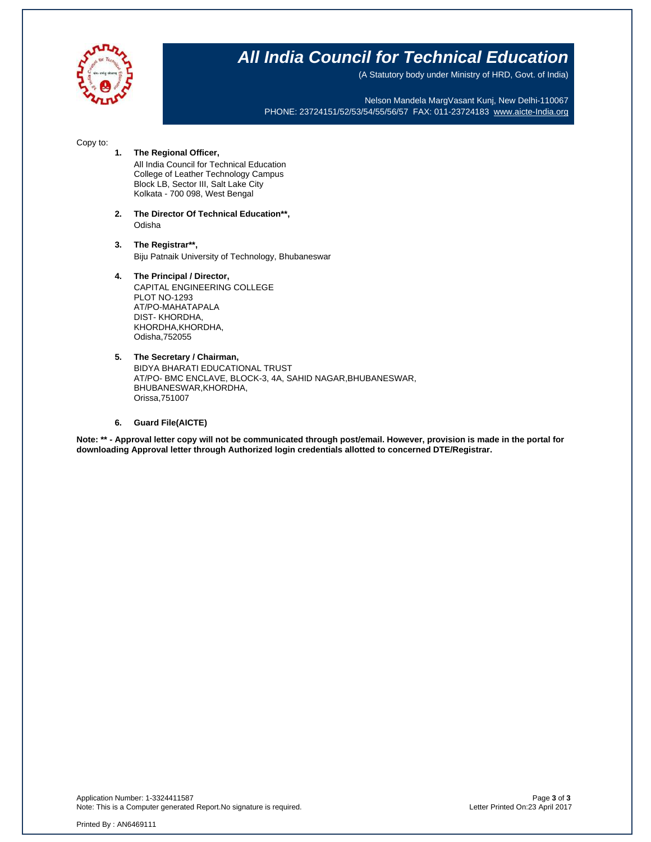

(A Statutory body under Ministry of HRD, Govt. of India)

Nelson Mandela MargVasant Kunj, New Delhi-110067 PHONE: 23724151/52/53/54/55/56/57 FAX: 011-23724183 [www.aicte-India.org](http://www.aicte-india.org/)

Copy to:

**1. The Regional Officer,** All India Council for Technical Education College of Leather Technology Campus Block LB, Sector III, Salt Lake City Kolkata - 700 098, West Bengal

- **2. The Director Of Technical Education\*\*,** Odisha
- **3. The Registrar\*\*,** Biju Patnaik University of Technology, Bhubaneswar

**4. The Principal / Director,**

CAPITAL ENGINEERING COLLEGE PLOT NO-1293 AT/PO-MAHATAPALA DIST- KHORDHA, KHORDHA,KHORDHA, Odisha,752055

**5. The Secretary / Chairman,**

BIDYA BHARATI EDUCATIONAL TRUST AT/PO- BMC ENCLAVE, BLOCK-3, 4A, SAHID NAGAR,BHUBANESWAR, BHUBANESWAR,KHORDHA, Orissa,751007

**6. Guard File(AICTE)**

**Note: \*\* - Approval letter copy will not be communicated through post/email. However, provision is made in the portal for downloading Approval letter through Authorized login credentials allotted to concerned DTE/Registrar.**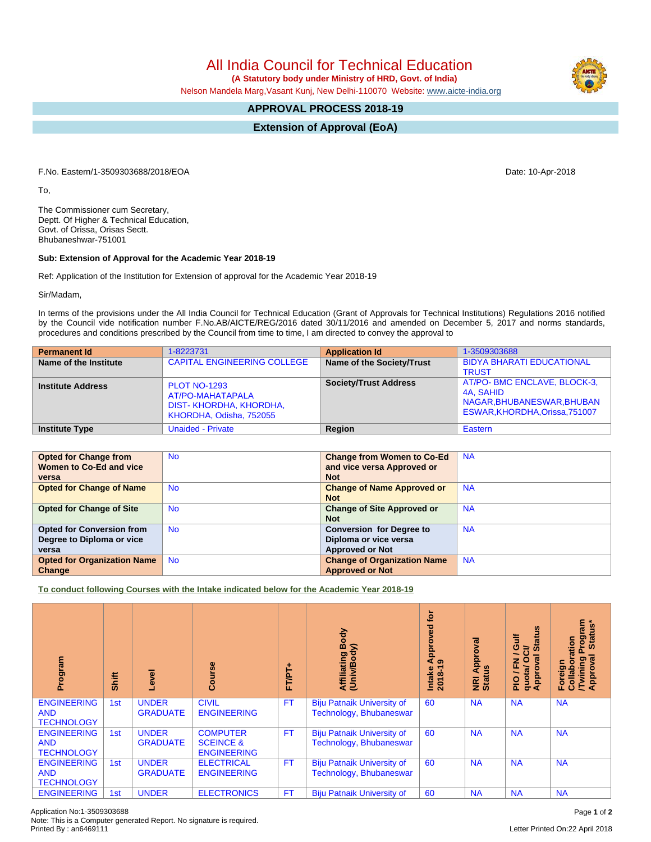Nelson Mandela Marg,Vasant Kunj, New Delhi-110070 Website: [www.aicte-india.org](http://www.aicte-india.org)

## **APPROVAL PROCESS 2018-19**

**Extension of Approval (EoA)**

F.No. Eastern/1-3509303688/2018/EOA Date: 10-Apr-2018

To,

The Commissioner cum Secretary, Deptt. Of Higher & Technical Education, Govt. of Orissa, Orisas Sectt. Bhubaneshwar-751001

### **Sub: Extension of Approval for the Academic Year 2018-19**

Ref: Application of the Institution for Extension of approval for the Academic Year 2018-19

Sir/Madam,

In terms of the provisions under the All India Council for Technical Education (Grant of Approvals for Technical Institutions) Regulations 2016 notified by the Council vide notification number F.No.AB/AICTE/REG/2016 dated 30/11/2016 and amended on December 5, 2017 and norms standards, procedures and conditions prescribed by the Council from time to time, I am directed to convey the approval to

| <b>Permanent Id</b>      | 1-8223731                                                                                    | <b>Application Id</b>        | 1-3509303688                                                                                              |
|--------------------------|----------------------------------------------------------------------------------------------|------------------------------|-----------------------------------------------------------------------------------------------------------|
| Name of the Institute    | <b>CAPITAL ENGINEERING COLLEGE</b>                                                           | Name of the Society/Trust    | <b>BIDYA BHARATI EDUCATIONAL</b><br><b>TRUST</b>                                                          |
| <b>Institute Address</b> | <b>PLOT NO-1293</b><br>AT/PO-MAHATAPALA<br>DIST-KHORDHA, KHORDHA,<br>KHORDHA, Odisha, 752055 | <b>Society/Trust Address</b> | AT/PO- BMC ENCLAVE, BLOCK-3,<br>4A. SAHID<br>NAGAR, BHUBANESWAR, BHUBAN<br>ESWAR, KHORDHA, Orissa, 751007 |
| <b>Institute Type</b>    | <b>Unaided - Private</b>                                                                     | Region                       | Eastern                                                                                                   |

| <b>Opted for Change from</b>       | <b>No</b> | <b>Change from Women to Co-Ed</b>  | <b>NA</b> |
|------------------------------------|-----------|------------------------------------|-----------|
| Women to Co-Ed and vice            |           | and vice versa Approved or         |           |
| versa                              |           | <b>Not</b>                         |           |
| <b>Opted for Change of Name</b>    | <b>No</b> | <b>Change of Name Approved or</b>  | <b>NA</b> |
|                                    |           | <b>Not</b>                         |           |
| <b>Opted for Change of Site</b>    | <b>No</b> | <b>Change of Site Approved or</b>  | <b>NA</b> |
|                                    |           | <b>Not</b>                         |           |
| <b>Opted for Conversion from</b>   | <b>No</b> | <b>Conversion for Degree to</b>    | <b>NA</b> |
| Degree to Diploma or vice          |           | Diploma or vice versa              |           |
| versa                              |           | <b>Approved or Not</b>             |           |
| <b>Opted for Organization Name</b> | <b>No</b> | <b>Change of Organization Name</b> | <b>NA</b> |
| Change                             |           | <b>Approved or Not</b>             |           |

**To conduct following Courses with the Intake indicated below for the Academic Year 2018-19**

| Program                                               | Shift | evel                            | Course                                                        | FT/PT+    | Body<br>Affiliating Book<br>(Univ/Body)                      | tor<br>pproved<br>ৰ<br>$\sigma$<br>$2018 - 1$<br>Intake | ड़<br>Approv<br><b>NRI Ap<br/>Status</b> | <b>SID</b><br>Guif<br><b>State</b><br>້ຈ<br>∽<br>0<br>$\omega$<br>준<br>quotal<br><b>Appro</b><br>$\frac{1}{2}$ | Program<br>Status*<br>boration<br>ख़<br><b>Twining</b><br>Approval<br>Foreign<br>Collat |
|-------------------------------------------------------|-------|---------------------------------|---------------------------------------------------------------|-----------|--------------------------------------------------------------|---------------------------------------------------------|------------------------------------------|----------------------------------------------------------------------------------------------------------------|-----------------------------------------------------------------------------------------|
| <b>ENGINEERING</b><br><b>AND</b><br><b>TECHNOLOGY</b> | 1st   | <b>UNDER</b><br><b>GRADUATE</b> | <b>CIVIL</b><br><b>ENGINEERING</b>                            | <b>FT</b> | <b>Biju Patnaik University of</b><br>Technology, Bhubaneswar | 60                                                      | <b>NA</b>                                | <b>NA</b>                                                                                                      | <b>NA</b>                                                                               |
| <b>ENGINEERING</b><br><b>AND</b><br><b>TECHNOLOGY</b> | 1st   | <b>UNDER</b><br><b>GRADUATE</b> | <b>COMPUTER</b><br><b>SCEINCE &amp;</b><br><b>ENGINEERING</b> | <b>FT</b> | <b>Biju Patnaik University of</b><br>Technology, Bhubaneswar | 60                                                      | <b>NA</b>                                | <b>NA</b>                                                                                                      | <b>NA</b>                                                                               |
| <b>ENGINEERING</b><br><b>AND</b><br><b>TECHNOLOGY</b> | 1st   | <b>UNDER</b><br><b>GRADUATE</b> | <b>ELECTRICAL</b><br><b>ENGINEERING</b>                       | <b>FT</b> | <b>Biju Patnaik University of</b><br>Technology, Bhubaneswar | 60                                                      | <b>NA</b>                                | <b>NA</b>                                                                                                      | <b>NA</b>                                                                               |
| <b>ENGINEERING</b>                                    | 1st   | <b>UNDER</b>                    | <b>ELECTRONICS</b>                                            | <b>FT</b> | <b>Biju Patnaik University of</b>                            | 60                                                      | <b>NA</b>                                | <b>NA</b>                                                                                                      | <b>NA</b>                                                                               |

Application No:1-3509303688 Page **1** of **2**

Note: This is a Computer generated Report. No signature is required.

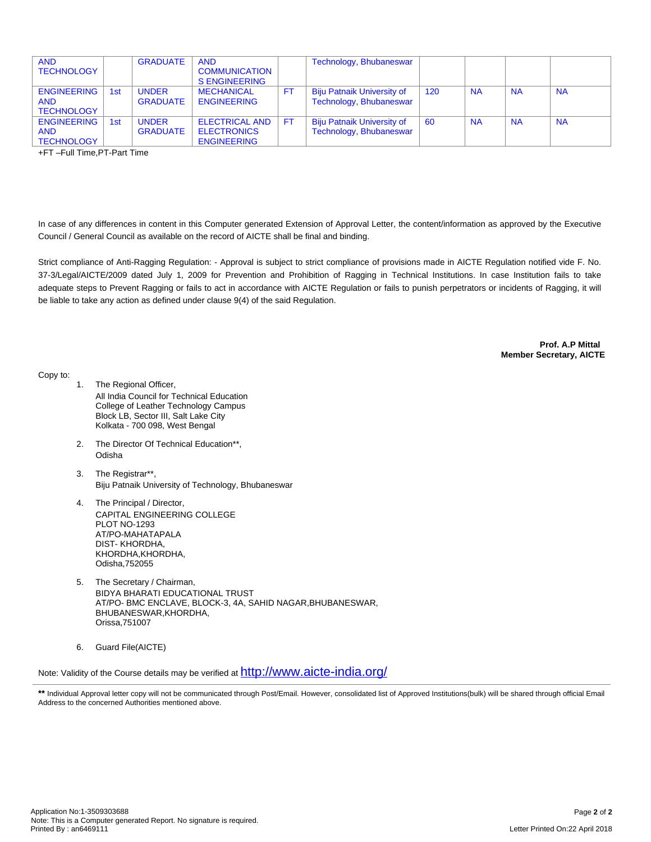| <b>AND</b><br><b>TECHNOLOGY</b>                       |     | <b>GRADUATE</b>                 | <b>AND</b><br><b>COMMUNICATION</b><br><b>S ENGINEERING</b>        |           | Technology, Bhubaneswar                                      |     |           |           |           |
|-------------------------------------------------------|-----|---------------------------------|-------------------------------------------------------------------|-----------|--------------------------------------------------------------|-----|-----------|-----------|-----------|
| <b>ENGINEERING</b><br><b>AND</b><br><b>TECHNOLOGY</b> | 1st | <b>UNDER</b><br><b>GRADUATE</b> | <b>MECHANICAL</b><br><b>ENGINEERING</b>                           | <b>FT</b> | <b>Biju Patnaik University of</b><br>Technology, Bhubaneswar | 120 | <b>NA</b> | <b>NA</b> | <b>NA</b> |
| <b>ENGINEERING</b><br><b>AND</b><br><b>TECHNOLOGY</b> | 1st | <b>UNDER</b><br><b>GRADUATE</b> | <b>ELECTRICAL AND</b><br><b>ELECTRONICS</b><br><b>ENGINEERING</b> | <b>FT</b> | <b>Biju Patnaik University of</b><br>Technology, Bhubaneswar | 60  | <b>NA</b> | <b>NA</b> | <b>NA</b> |

+FT –Full Time,PT-Part Time

In case of any differences in content in this Computer generated Extension of Approval Letter, the content/information as approved by the Executive Council / General Council as available on the record of AICTE shall be final and binding.

Strict compliance of Anti-Ragging Regulation: - Approval is subject to strict compliance of provisions made in AICTE Regulation notified vide F. No. 37-3/Legal/AICTE/2009 dated July 1, 2009 for Prevention and Prohibition of Ragging in Technical Institutions. In case Institution fails to take adequate steps to Prevent Ragging or fails to act in accordance with AICTE Regulation or fails to punish perpetrators or incidents of Ragging, it will be liable to take any action as defined under clause 9(4) of the said Regulation.

> **Prof. A.P Mittal Member Secretary, AICTE**

Copy to:

- 1. The Regional Officer, All India Council for Technical Education College of Leather Technology Campus Block LB, Sector III, Salt Lake City Kolkata - 700 098, West Bengal
- 2. The Director Of Technical Education\*\*, Odisha
- 3. The Registrar\*\*, Biju Patnaik University of Technology, Bhubaneswar
- 4. The Principal / Director, CAPITAL ENGINEERING COLLEGE PLOT NO-1293 AT/PO-MAHATAPALA DIST- KHORDHA, KHORDHA,KHORDHA, Odisha,752055
- 5. The Secretary / Chairman, BIDYA BHARATI EDUCATIONAL TRUST AT/PO- BMC ENCLAVE, BLOCK-3, 4A, SAHID NAGAR,BHUBANESWAR, BHUBANESWAR,KHORDHA, Orissa,751007
- 6. Guard File(AICTE)

Note: Validity of the Course details may be verified at <http://www.aicte-india.org/>

\*\* Individual Approval letter copy will not be communicated through Post/Email. However, consolidated list of Approved Institutions(bulk) will be shared through official Email Address to the concerned Authorities mentioned above.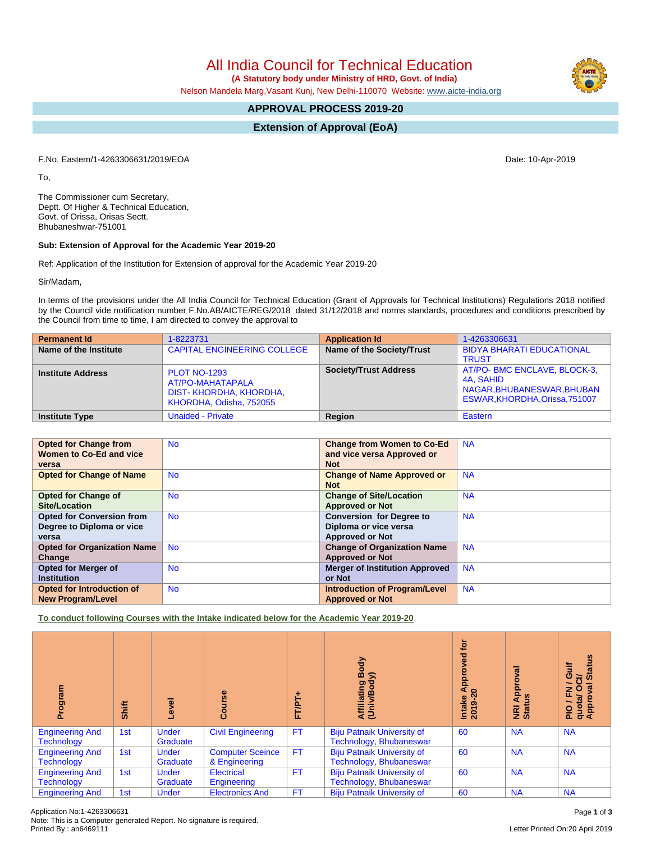**(A Statutory body under Ministry of HRD, Govt. of India)**

Nelson Mandela Marg,Vasant Kunj, New Delhi-110070 Website: [www.aicte-india.org](http://www.aicte-india.org)

## **APPROVAL PROCESS 2019-20**

**Extension of Approval (EoA)**

F.No. Eastern/1-4263306631/2019/EOA Date: 10-Apr-2019

To,

The Commissioner cum Secretary, Deptt. Of Higher & Technical Education, Govt. of Orissa, Orisas Sectt. Bhubaneshwar-751001

#### **Sub: Extension of Approval for the Academic Year 2019-20**

Ref: Application of the Institution for Extension of approval for the Academic Year 2019-20

Sir/Madam,

In terms of the provisions under the All India Council for Technical Education (Grant of Approvals for Technical Institutions) Regulations 2018 notified by the Council vide notification number F.No.AB/AICTE/REG/2018 dated 31/12/2018 and norms standards, procedures and conditions prescribed by the Council from time to time, I am directed to convey the approval to

| <b>Permanent Id</b>      | 1-8223731                                                                                    | <b>Application Id</b>        | 1-4263306631                                                                                              |
|--------------------------|----------------------------------------------------------------------------------------------|------------------------------|-----------------------------------------------------------------------------------------------------------|
| Name of the Institute    | <b>CAPITAL ENGINEERING COLLEGE</b>                                                           | Name of the Society/Trust    | <b>BIDYA BHARATI EDUCATIONAL</b><br><b>TRUST</b>                                                          |
| <b>Institute Address</b> | <b>PLOT NO-1293</b><br>AT/PO-MAHATAPALA<br>DIST-KHORDHA, KHORDHA,<br>KHORDHA, Odisha, 752055 | <b>Society/Trust Address</b> | AT/PO- BMC ENCLAVE, BLOCK-3,<br>4A. SAHID<br>NAGAR, BHUBANESWAR, BHUBAN<br>ESWAR, KHORDHA, Orissa, 751007 |
| <b>Institute Type</b>    | <b>Unaided - Private</b>                                                                     | Region                       | Eastern                                                                                                   |

| <b>Opted for Change from</b>       | <b>No</b> | <b>Change from Women to Co-Ed</b>     | <b>NA</b> |
|------------------------------------|-----------|---------------------------------------|-----------|
| Women to Co-Ed and vice            |           | and vice versa Approved or            |           |
|                                    |           |                                       |           |
| versa                              |           | <b>Not</b>                            |           |
| <b>Opted for Change of Name</b>    | <b>No</b> | <b>Change of Name Approved or</b>     | <b>NA</b> |
|                                    |           | <b>Not</b>                            |           |
| <b>Opted for Change of</b>         | <b>No</b> | <b>Change of Site/Location</b>        | <b>NA</b> |
| <b>Site/Location</b>               |           | <b>Approved or Not</b>                |           |
| <b>Opted for Conversion from</b>   | <b>No</b> | <b>Conversion for Degree to</b>       | <b>NA</b> |
| Degree to Diploma or vice          |           | Diploma or vice versa                 |           |
| versa                              |           | <b>Approved or Not</b>                |           |
| <b>Opted for Organization Name</b> | <b>No</b> | <b>Change of Organization Name</b>    | <b>NA</b> |
| Change                             |           | <b>Approved or Not</b>                |           |
| <b>Opted for Merger of</b>         | <b>No</b> | <b>Merger of Institution Approved</b> | <b>NA</b> |
| <b>Institution</b>                 |           | or Not                                |           |
| <b>Opted for Introduction of</b>   | <b>No</b> | <b>Introduction of Program/Level</b>  | <b>NA</b> |
| <b>New Program/Level</b>           |           | <b>Approved or Not</b>                |           |

**To conduct following Courses with the Intake indicated below for the Academic Year 2019-20**

| nanbo.                                      | Shift | level                    | Course                                   | ٠<br>FT/PT | Body<br>$\widehat{\phantom{a}}$<br>Affiliating<br>(Univ/Bod <sub>)</sub> | <b>jo</b><br>ढ़<br>$\circ$<br>ake Appro<br>9-20<br>Intake<br>2019-2 | ब्र<br>ō.<br>Appr<br>ŝ<br>NRI<br>Statu | <b>Status</b><br>ă<br>ဖ<br>$\vec{c}$<br>$\overline{\phantom{0}}$<br>$\circ$<br>준<br>g<br>quota/<br>Approv<br>$\frac{1}{2}$ |
|---------------------------------------------|-------|--------------------------|------------------------------------------|------------|--------------------------------------------------------------------------|---------------------------------------------------------------------|----------------------------------------|----------------------------------------------------------------------------------------------------------------------------|
| <b>Engineering And</b><br><b>Technology</b> | 1st   | <b>Under</b><br>Graduate | <b>Civil Engineering</b>                 | <b>FT</b>  | <b>Biju Patnaik University of</b><br>Technology, Bhubaneswar             | 60                                                                  | <b>NA</b>                              | <b>NA</b>                                                                                                                  |
| <b>Engineering And</b><br><b>Technology</b> | 1st   | <b>Under</b><br>Graduate | <b>Computer Sceince</b><br>& Engineering | <b>FT</b>  | <b>Biju Patnaik University of</b><br>Technology, Bhubaneswar             | 60                                                                  | <b>NA</b>                              | <b>NA</b>                                                                                                                  |
| <b>Engineering And</b><br><b>Technology</b> | 1st   | <b>Under</b><br>Graduate | <b>Electrical</b><br>Engineering         | <b>FT</b>  | <b>Biju Patnaik University of</b><br>Technology, Bhubaneswar             | 60                                                                  | <b>NA</b>                              | <b>NA</b>                                                                                                                  |
| <b>Engineering And</b>                      | 1st   | <b>Under</b>             | <b>Electronics And</b>                   | <b>FT</b>  | <b>Biju Patnaik University of</b>                                        | 60                                                                  | <b>NA</b>                              | <b>NA</b>                                                                                                                  |

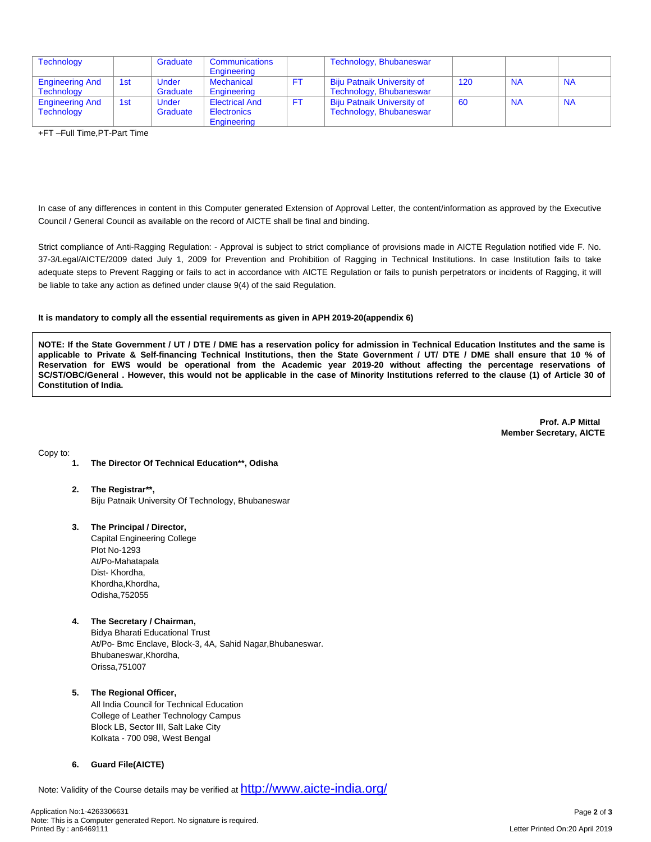| Technology                                  |     | Graduate                 | <b>Communications</b><br>Engineering                       |     | Technology, Bhubaneswar                                      |     |           |           |
|---------------------------------------------|-----|--------------------------|------------------------------------------------------------|-----|--------------------------------------------------------------|-----|-----------|-----------|
| <b>Engineering And</b><br>Technology        | 1st | Under<br>Graduate        | Mechanical<br>Engineering                                  | FT. | <b>Biju Patnaik University of</b><br>Technology, Bhubaneswar | 120 | <b>NA</b> | <b>NA</b> |
| <b>Engineering And</b><br><b>Technology</b> | 1st | <b>Under</b><br>Graduate | <b>Electrical And</b><br><b>Electronics</b><br>Engineering | FT  | <b>Biju Patnaik University of</b><br>Technology, Bhubaneswar | -60 | <b>NA</b> | <b>NA</b> |

+FT –Full Time,PT-Part Time

In case of any differences in content in this Computer generated Extension of Approval Letter, the content/information as approved by the Executive Council / General Council as available on the record of AICTE shall be final and binding.

Strict compliance of Anti-Ragging Regulation: - Approval is subject to strict compliance of provisions made in AICTE Regulation notified vide F. No. 37-3/Legal/AICTE/2009 dated July 1, 2009 for Prevention and Prohibition of Ragging in Technical Institutions. In case Institution fails to take adequate steps to Prevent Ragging or fails to act in accordance with AICTE Regulation or fails to punish perpetrators or incidents of Ragging, it will be liable to take any action as defined under clause 9(4) of the said Regulation.

#### **It is mandatory to comply all the essential requirements as given in APH 2019-20(appendix 6)**

NOTE: If the State Government / UT / DTE / DME has a reservation policy for admission in Technical Education Institutes and the same is applicable to Private & Self-financing Technical Institutions, then the State Government / UT/ DTE / DME shall ensure that 10 % of Reservation for EWS would be operational from the Academic year 2019-20 without affecting the percentage reservations of SC/ST/OBC/General . However, this would not be applicable in the case of Minority Institutions referred to the clause (1) of Article 30 of **Constitution of India.**

> **Prof. A.P Mittal Member Secretary, AICTE**

Copy to:

- **1. The Director Of Technical Education\*\*, Odisha**
- **2. The Registrar\*\*,** Biju Patnaik University Of Technology, Bhubaneswar
- **3. The Principal / Director,** Capital Engineering College Plot No-1293 At/Po-Mahatapala Dist- Khordha, Khordha, Khordha, Odisha,752055
- **4. The Secretary / Chairman,** Bidya Bharati Educational Trust At/Po- Bmc Enclave, Block-3, 4A, Sahid Nagar,Bhubaneswar. Bhubaneswar,Khordha, Orissa,751007

#### **5. The Regional Officer,**

All India Council for Technical Education College of Leather Technology Campus Block LB, Sector III, Salt Lake City Kolkata - 700 098, West Bengal

#### **6. Guard File(AICTE)**

Note: Validity of the Course details may be verified at <http://www.aicte-india.org/>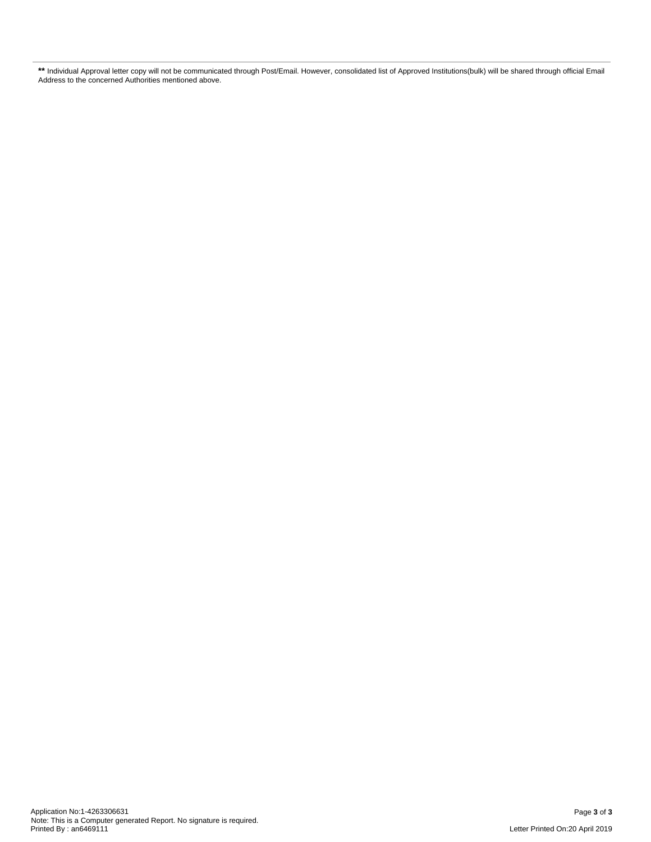**\*\*** Individual Approval letter copy will not be communicated through Post/Email. However, consolidated list of Approved Institutions(bulk) will be shared through official Email Address to the concerned Authorities mentioned above.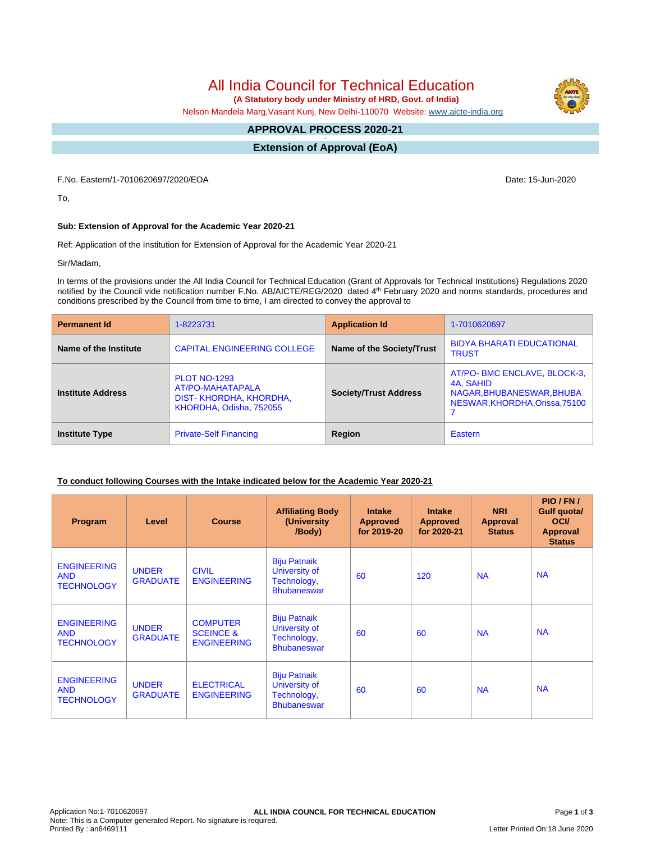**(A Statutory body under Ministry of HRD, Govt. of India)**

Nelson Mandela Marg,Vasant Kunj, New Delhi-110070 Website: [www.aicte-india.org](http://www.aicte-india.org)

#### **APPROVAL PROCESS 2020-21 -**

**Extension of Approval (EoA)**

F.No. Eastern/1-7010620697/2020/EOA Date: 15-Jun-2020

To,

### **Sub: Extension of Approval for the Academic Year 2020-21**

Ref: Application of the Institution for Extension of Approval for the Academic Year 2020-21

Sir/Madam,

In terms of the provisions under the All India Council for Technical Education (Grant of Approvals for Technical Institutions) Regulations 2020 notified by the Council vide notification number F.No. AB/AICTE/REG/2020 dated 4<sup>th</sup> February 2020 and norms standards, procedures and conditions prescribed by the Council from time to time, I am directed to convey the approval to

| <b>Permanent Id</b>      | 1-8223731                                                                                    | <b>Application Id</b>        | 1-7010620697                                                                                          |
|--------------------------|----------------------------------------------------------------------------------------------|------------------------------|-------------------------------------------------------------------------------------------------------|
| Name of the Institute    | <b>CAPITAL ENGINEERING COLLEGE</b>                                                           | Name of the Society/Trust    | <b>BIDYA BHARATI EDUCATIONAL</b><br><b>TRUST</b>                                                      |
| <b>Institute Address</b> | <b>PLOT NO-1293</b><br>AT/PO-MAHATAPALA<br>DIST-KHORDHA, KHORDHA,<br>KHORDHA, Odisha, 752055 | <b>Society/Trust Address</b> | AT/PO- BMC ENCLAVE, BLOCK-3,<br>4A. SAHID<br>NAGAR, BHUBANESWAR, BHUBA<br>NESWAR.KHORDHA.Orissa.75100 |
| <b>Institute Type</b>    | <b>Private-Self Financing</b>                                                                | Region                       | Eastern                                                                                               |

#### **To conduct following Courses with the Intake indicated below for the Academic Year 2020-21**

| Program                                               | Level                           | <b>Course</b>                                                 | <b>Affiliating Body</b><br>(University<br>/Body)                          | <b>Intake</b><br><b>Approved</b><br>for 2019-20 | <b>Intake</b><br><b>Approved</b><br>for 2020-21 | <b>NRI</b><br>Approval<br><b>Status</b> | PIO/FN/<br>Gulf quota/<br><b>OCI</b><br><b>Approval</b><br><b>Status</b> |
|-------------------------------------------------------|---------------------------------|---------------------------------------------------------------|---------------------------------------------------------------------------|-------------------------------------------------|-------------------------------------------------|-----------------------------------------|--------------------------------------------------------------------------|
| <b>ENGINEERING</b><br><b>AND</b><br><b>TECHNOLOGY</b> | <b>UNDER</b><br><b>GRADUATE</b> | <b>CIVIL</b><br><b>ENGINEERING</b>                            | <b>Biju Patnaik</b><br>University of<br>Technology,<br><b>Bhubaneswar</b> | 60                                              | 120                                             | <b>NA</b>                               | <b>NA</b>                                                                |
| <b>ENGINEERING</b><br><b>AND</b><br><b>TECHNOLOGY</b> | <b>UNDER</b><br><b>GRADUATE</b> | <b>COMPUTER</b><br><b>SCEINCE &amp;</b><br><b>ENGINEERING</b> | <b>Biju Patnaik</b><br>University of<br>Technology,<br><b>Bhubaneswar</b> | 60                                              | 60                                              | <b>NA</b>                               | <b>NA</b>                                                                |
| <b>ENGINEERING</b><br><b>AND</b><br><b>TECHNOLOGY</b> | <b>UNDER</b><br><b>GRADUATE</b> | <b>ELECTRICAL</b><br><b>ENGINEERING</b>                       | <b>Biju Patnaik</b><br>University of<br>Technology,<br><b>Bhubaneswar</b> | 60                                              | 60                                              | <b>NA</b>                               | <b>NA</b>                                                                |



Letter Printed On:18 June 2020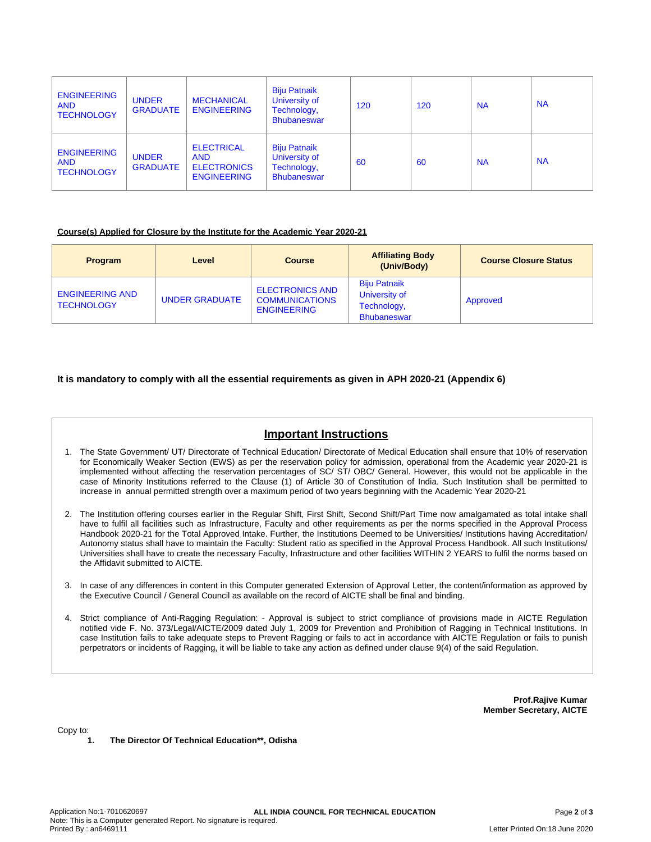| <b>ENGINEERING</b><br><b>AND</b><br><b>TECHNOLOGY</b> | <b>UNDER</b><br><b>GRADUATE</b> | <b>MECHANICAL</b><br><b>ENGINEERING</b>                                     | <b>Biju Patnaik</b><br>University of<br>Technology,<br><b>Bhubaneswar</b> | 120 | 120 | <b>NA</b> | <b>NA</b> |
|-------------------------------------------------------|---------------------------------|-----------------------------------------------------------------------------|---------------------------------------------------------------------------|-----|-----|-----------|-----------|
| <b>ENGINEERING</b><br><b>AND</b><br><b>TECHNOLOGY</b> | <b>UNDER</b><br><b>GRADUATE</b> | <b>ELECTRICAL</b><br><b>AND</b><br><b>ELECTRONICS</b><br><b>ENGINEERING</b> | <b>Biju Patnaik</b><br>University of<br>Technology,<br><b>Bhubaneswar</b> | -60 | 60  | <b>NA</b> | <b>NA</b> |

#### **Course(s) Applied for Closure by the Institute for the Academic Year 2020-21**

| <b>Program</b>                              | Level                 | <b>Course</b>                                                         | <b>Affiliating Body</b><br>(Univ/Body)                                    | <b>Course Closure Status</b> |
|---------------------------------------------|-----------------------|-----------------------------------------------------------------------|---------------------------------------------------------------------------|------------------------------|
| <b>ENGINEERING AND</b><br><b>TECHNOLOGY</b> | <b>UNDER GRADUATE</b> | <b>ELECTRONICS AND</b><br><b>COMMUNICATIONS</b><br><b>ENGINEERING</b> | <b>Biju Patnaik</b><br>University of<br>Technology,<br><b>Bhubaneswar</b> | Approved                     |

#### **It is mandatory to comply with all the essential requirements as given in APH 2020-21 (Appendix 6)**

## **Important Instructions**

- 1. The State Government/ UT/ Directorate of Technical Education/ Directorate of Medical Education shall ensure that 10% of reservation for Economically Weaker Section (EWS) as per the reservation policy for admission, operational from the Academic year 2020-21 is implemented without affecting the reservation percentages of SC/ ST/ OBC/ General. However, this would not be applicable in the case of Minority Institutions referred to the Clause (1) of Article 30 of Constitution of India. Such Institution shall be permitted to increase in annual permitted strength over a maximum period of two years beginning with the Academic Year 2020-21
- 2. The Institution offering courses earlier in the Regular Shift, First Shift, Second Shift/Part Time now amalgamated as total intake shall have to fulfil all facilities such as Infrastructure, Faculty and other requirements as per the norms specified in the Approval Process Handbook 2020-21 for the Total Approved Intake. Further, the Institutions Deemed to be Universities/ Institutions having Accreditation/ Autonomy status shall have to maintain the Faculty: Student ratio as specified in the Approval Process Handbook. All such Institutions/ Universities shall have to create the necessary Faculty, Infrastructure and other facilities WITHIN 2 YEARS to fulfil the norms based on the Affidavit submitted to AICTE.
- 3. In case of any differences in content in this Computer generated Extension of Approval Letter, the content/information as approved by the Executive Council / General Council as available on the record of AICTE shall be final and binding.
- 4. Strict compliance of Anti-Ragging Regulation: Approval is subject to strict compliance of provisions made in AICTE Regulation notified vide F. No. 373/Legal/AICTE/2009 dated July 1, 2009 for Prevention and Prohibition of Ragging in Technical Institutions. In case Institution fails to take adequate steps to Prevent Ragging or fails to act in accordance with AICTE Regulation or fails to punish perpetrators or incidents of Ragging, it will be liable to take any action as defined under clause 9(4) of the said Regulation.

**Prof.Rajive Kumar Member Secretary, AICTE**

Copy to:

**1. The Director Of Technical Education\*\*, Odisha**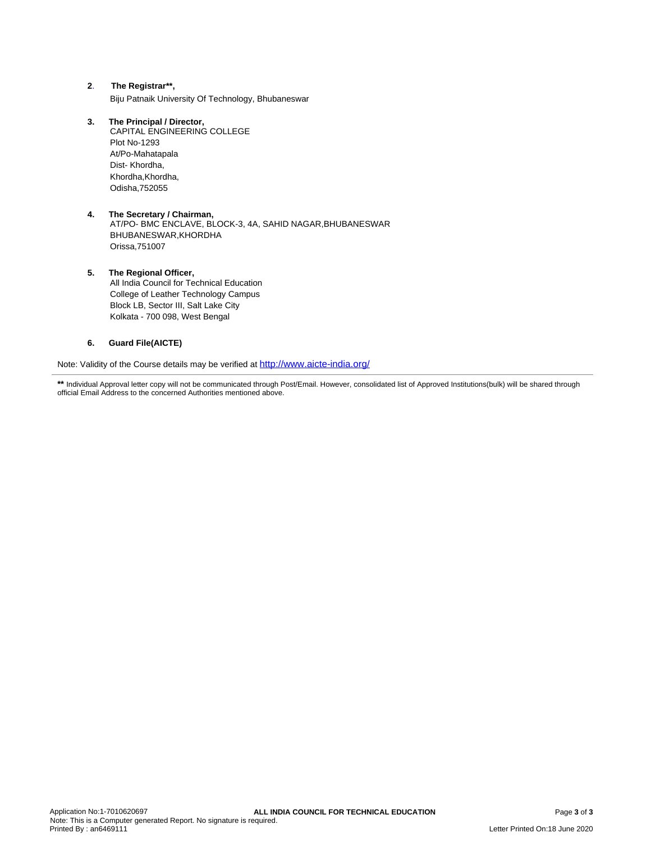#### **2**. **The Registrar\*\*,**

Biju Patnaik University Of Technology, Bhubaneswar

## **3. The Principal / Director,**

CAPITAL ENGINEERING COLLEGE Plot No-1293 At/Po-Mahatapala Dist- Khordha, Khordha, Khordha, Odisha,752055

**4. The Secretary / Chairman,** AT/PO- BMC ENCLAVE, BLOCK-3, 4A, SAHID NAGAR,BHUBANESWAR BHUBANESWAR,KHORDHA Orissa,751007

#### **5. The Regional Officer,**

All India Council for Technical Education College of Leather Technology Campus Block LB, Sector III, Salt Lake City Kolkata - 700 098, West Bengal

#### **6. Guard File(AICTE)**

Note: Validity of the Course details may be verified at <http://www.aicte-india.org/>

\*\* Individual Approval letter copy will not be communicated through Post/Email. However, consolidated list of Approved Institutions(bulk) will be shared through official Email Address to the concerned Authorities mentioned above.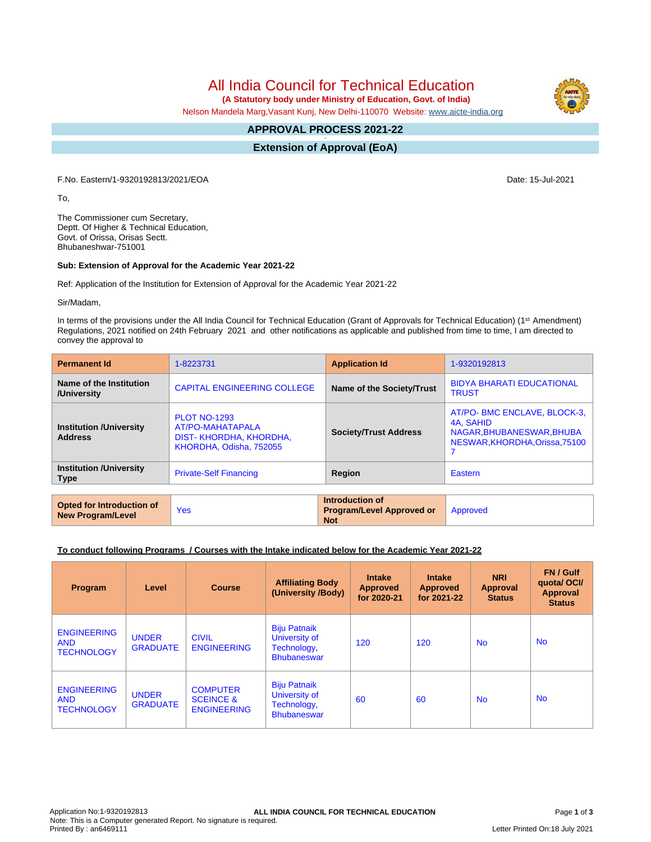**(A Statutory body under Ministry of Education, Govt. of India)**

Nelson Mandela Marg,Vasant Kunj, New Delhi-110070 Website: [www.aicte-india.org](http://www.aicte-india.org)

#### **APPROVAL PROCESS 2021-22 -**

**Extension of Approval (EoA)**

F.No. Eastern/1-9320192813/2021/EOA Date: 15-Jul-2021

To,

The Commissioner cum Secretary, Deptt. Of Higher & Technical Education, Govt. of Orissa, Orisas Sectt. Bhubaneshwar-751001

#### **Sub: Extension of Approval for the Academic Year 2021-22**

Ref: Application of the Institution for Extension of Approval for the Academic Year 2021-22

Sir/Madam,

In terms of the provisions under the All India Council for Technical Education (Grant of Approvals for Technical Education) (1<sup>st</sup> Amendment) Regulations, 2021 notified on 24th February 2021 and other notifications as applicable and published from time to time, I am directed to convey the approval to

| <b>Permanent Id</b>                                   | 1-8223731                                                                                    | <b>Application Id</b>                                              | 1-9320192813                                                                                          |  |  |  |
|-------------------------------------------------------|----------------------------------------------------------------------------------------------|--------------------------------------------------------------------|-------------------------------------------------------------------------------------------------------|--|--|--|
| Name of the Institution<br>/University                | <b>CAPITAL ENGINEERING COLLEGE</b>                                                           | Name of the Society/Trust                                          | <b>BIDYA BHARATI EDUCATIONAL</b><br><b>TRUST</b>                                                      |  |  |  |
| <b>Institution /University</b><br><b>Address</b>      | <b>PLOT NO-1293</b><br>AT/PO-MAHATAPALA<br>DIST-KHORDHA, KHORDHA,<br>KHORDHA, Odisha, 752055 | <b>Society/Trust Address</b>                                       | AT/PO- BMC ENCLAVE, BLOCK-3,<br>4A. SAHID<br>NAGAR, BHUBANESWAR, BHUBA<br>NESWAR.KHORDHA.Orissa.75100 |  |  |  |
| <b>Institution /University</b><br><b>Type</b>         | <b>Private-Self Financing</b>                                                                | Region                                                             | Eastern                                                                                               |  |  |  |
|                                                       |                                                                                              |                                                                    |                                                                                                       |  |  |  |
| Opted for Introduction of<br><b>New Program/Level</b> | <b>Yes</b>                                                                                   | Introduction of<br><b>Program/Level Approved or</b><br><b>NEWS</b> | Approved                                                                                              |  |  |  |

**Not**

#### **To conduct following Programs / Courses with the Intake indicated below for the Academic Year 2021-22**

| Program                                               | Level                           | <b>Course</b>                                                 | <b>Affiliating Body</b><br>(University /Body)                             | <b>Intake</b><br><b>Approved</b><br>for 2020-21 | <b>Intake</b><br><b>Approved</b><br>for 2021-22 | <b>NRI</b><br><b>Approval</b><br><b>Status</b> | FN / Gulf<br>quotal OCI/<br><b>Approval</b><br><b>Status</b> |
|-------------------------------------------------------|---------------------------------|---------------------------------------------------------------|---------------------------------------------------------------------------|-------------------------------------------------|-------------------------------------------------|------------------------------------------------|--------------------------------------------------------------|
| <b>ENGINEERING</b><br><b>AND</b><br><b>TECHNOLOGY</b> | <b>UNDER</b><br><b>GRADUATE</b> | <b>CIVIL</b><br><b>ENGINEERING</b>                            | <b>Biju Patnaik</b><br>University of<br>Technology,<br><b>Bhubaneswar</b> | 120                                             | 120                                             | <b>No</b>                                      | <b>No</b>                                                    |
| <b>ENGINEERING</b><br><b>AND</b><br><b>TECHNOLOGY</b> | <b>UNDER</b><br><b>GRADUATE</b> | <b>COMPUTER</b><br><b>SCEINCE &amp;</b><br><b>ENGINEERING</b> | <b>Biju Patnaik</b><br>University of<br>Technology,<br><b>Bhubaneswar</b> | 60                                              | 60                                              | <b>No</b>                                      | <b>No</b>                                                    |

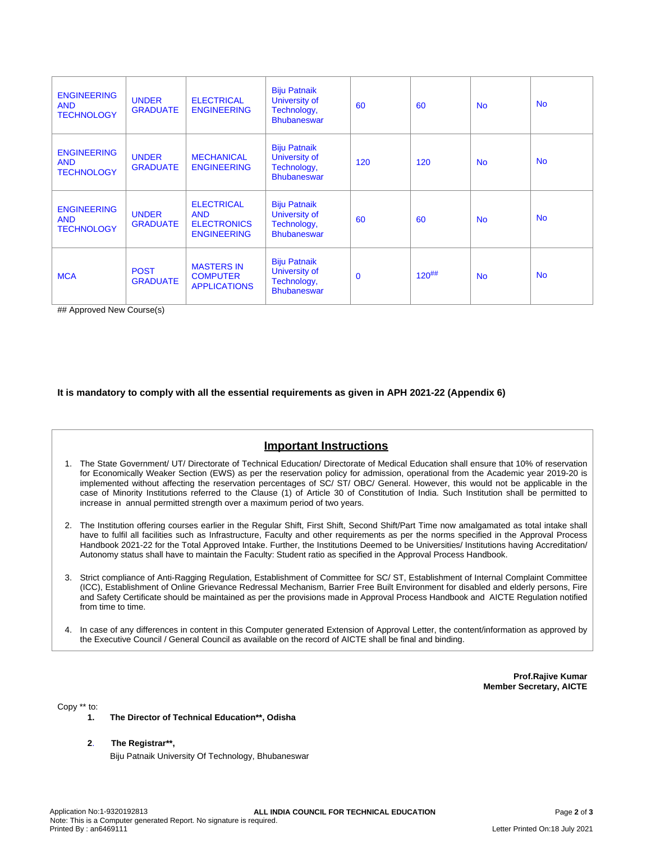| <b>ENGINEERING</b><br><b>AND</b><br><b>TECHNOLOGY</b> | <b>UNDER</b><br><b>GRADUATE</b> | <b>ELECTRICAL</b><br><b>ENGINEERING</b>                                     | <b>Biju Patnaik</b><br>University of<br>Technology,<br><b>Bhubaneswar</b> | 60          | 60         | N <sub>o</sub> | <b>No</b> |
|-------------------------------------------------------|---------------------------------|-----------------------------------------------------------------------------|---------------------------------------------------------------------------|-------------|------------|----------------|-----------|
| <b>ENGINEERING</b><br><b>AND</b><br><b>TECHNOLOGY</b> | <b>UNDER</b><br><b>GRADUATE</b> | <b>MECHANICAL</b><br><b>ENGINEERING</b>                                     | <b>Biju Patnaik</b><br>University of<br>Technology,<br><b>Bhubaneswar</b> | 120         | 120        | N <sub>o</sub> | <b>No</b> |
| <b>ENGINEERING</b><br><b>AND</b><br><b>TECHNOLOGY</b> | <b>UNDER</b><br><b>GRADUATE</b> | <b>ELECTRICAL</b><br><b>AND</b><br><b>ELECTRONICS</b><br><b>ENGINEERING</b> | <b>Biju Patnaik</b><br>University of<br>Technology,<br><b>Bhubaneswar</b> | 60          | 60         | <b>No</b>      | <b>No</b> |
| <b>MCA</b>                                            | <b>POST</b><br><b>GRADUATE</b>  | <b>MASTERS IN</b><br><b>COMPUTER</b><br><b>APPLICATIONS</b>                 | <b>Biju Patnaik</b><br>University of<br>Technology,<br><b>Bhubaneswar</b> | $\mathbf 0$ | $120^{##}$ | <b>No</b>      | <b>No</b> |

## Approved New Course(s)

**It is mandatory to comply with all the essential requirements as given in APH 2021-22 (Appendix 6)**

## **Important Instructions**

- 1. The State Government/ UT/ Directorate of Technical Education/ Directorate of Medical Education shall ensure that 10% of reservation for Economically Weaker Section (EWS) as per the reservation policy for admission, operational from the Academic year 2019-20 is implemented without affecting the reservation percentages of SC/ ST/ OBC/ General. However, this would not be applicable in the case of Minority Institutions referred to the Clause (1) of Article 30 of Constitution of India. Such Institution shall be permitted to increase in annual permitted strength over a maximum period of two years.
- 2. The Institution offering courses earlier in the Regular Shift, First Shift, Second Shift/Part Time now amalgamated as total intake shall have to fulfil all facilities such as Infrastructure, Faculty and other requirements as per the norms specified in the Approval Process Handbook 2021-22 for the Total Approved Intake. Further, the Institutions Deemed to be Universities/ Institutions having Accreditation/ Autonomy status shall have to maintain the Faculty: Student ratio as specified in the Approval Process Handbook.
- 3. Strict compliance of Anti-Ragging Regulation, Establishment of Committee for SC/ ST, Establishment of Internal Complaint Committee (ICC), Establishment of Online Grievance Redressal Mechanism, Barrier Free Built Environment for disabled and elderly persons, Fire and Safety Certificate should be maintained as per the provisions made in Approval Process Handbook and AICTE Regulation notified from time to time.
- 4. In case of any differences in content in this Computer generated Extension of Approval Letter, the content/information as approved by the Executive Council / General Council as available on the record of AICTE shall be final and binding.

**Prof.Rajive Kumar Member Secretary, AICTE**

Copy \*\* to:

- **1. The Director of Technical Education\*\*, Odisha**
- **2**. **The Registrar\*\*,**

Biju Patnaik University Of Technology, Bhubaneswar